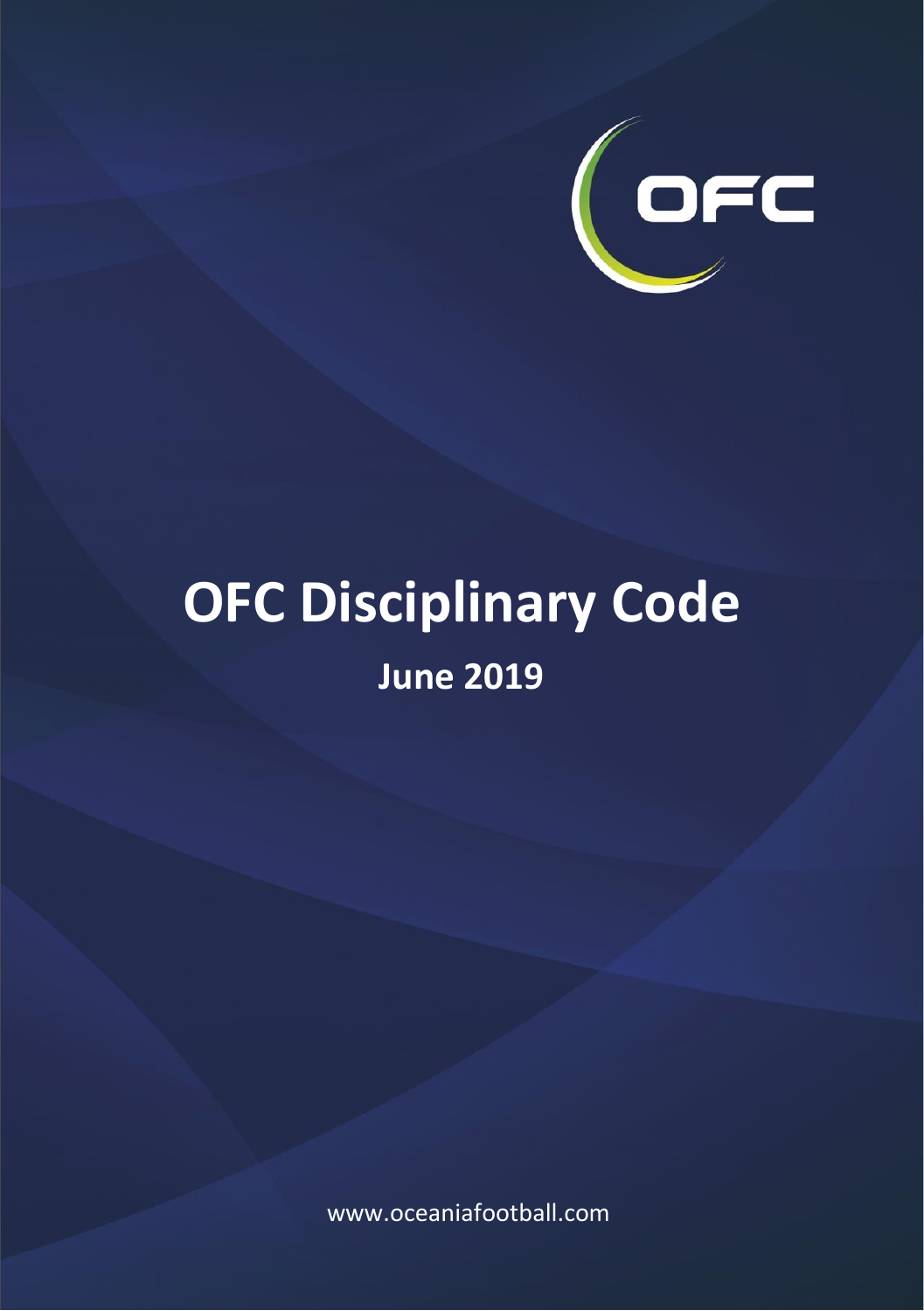

# **OFC Disciplinary Code June 2019**

www.oceaniafootball.com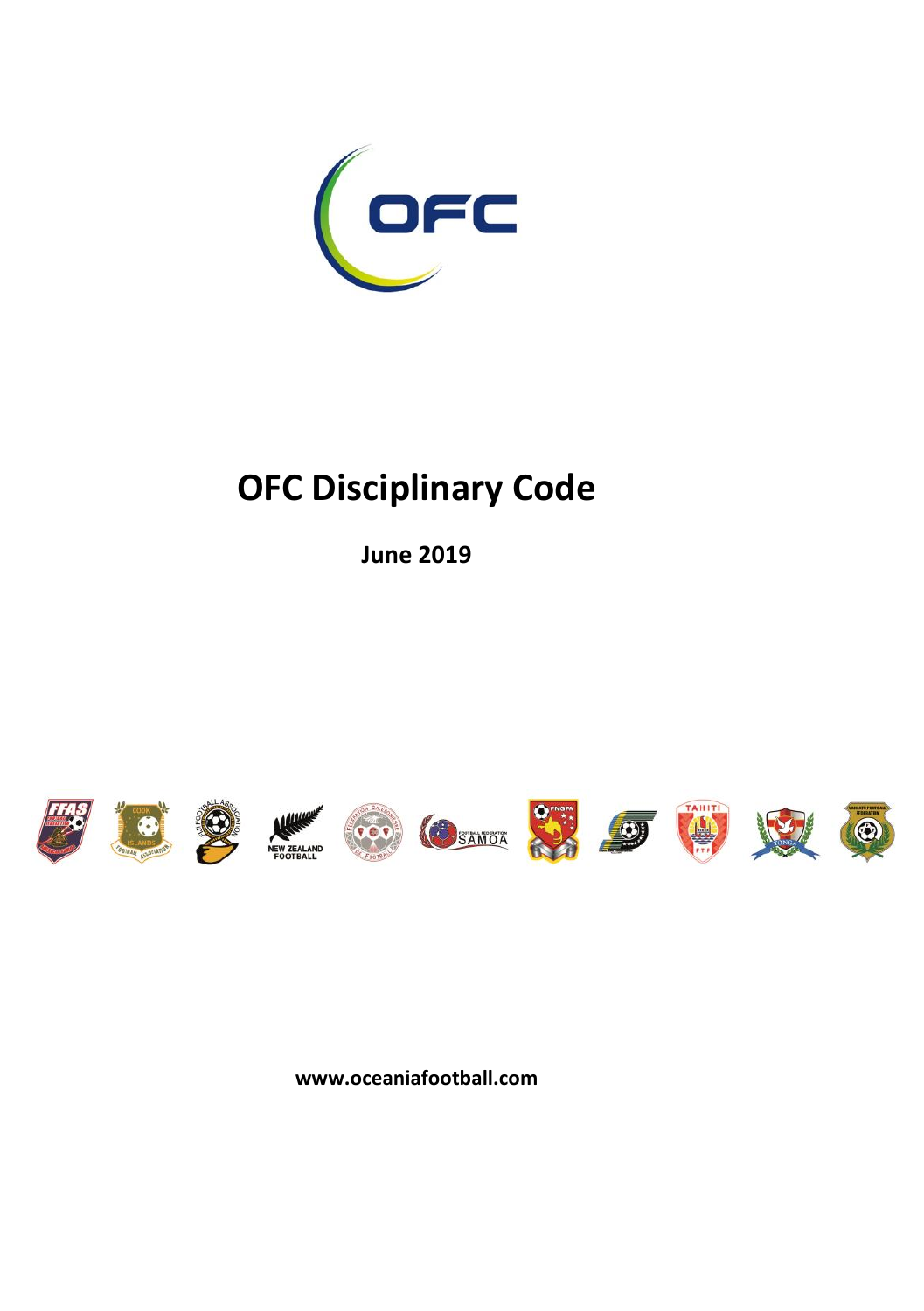

## **OFC Disciplinary Code**

**June 2019**





















**www.oceaniafootball.com**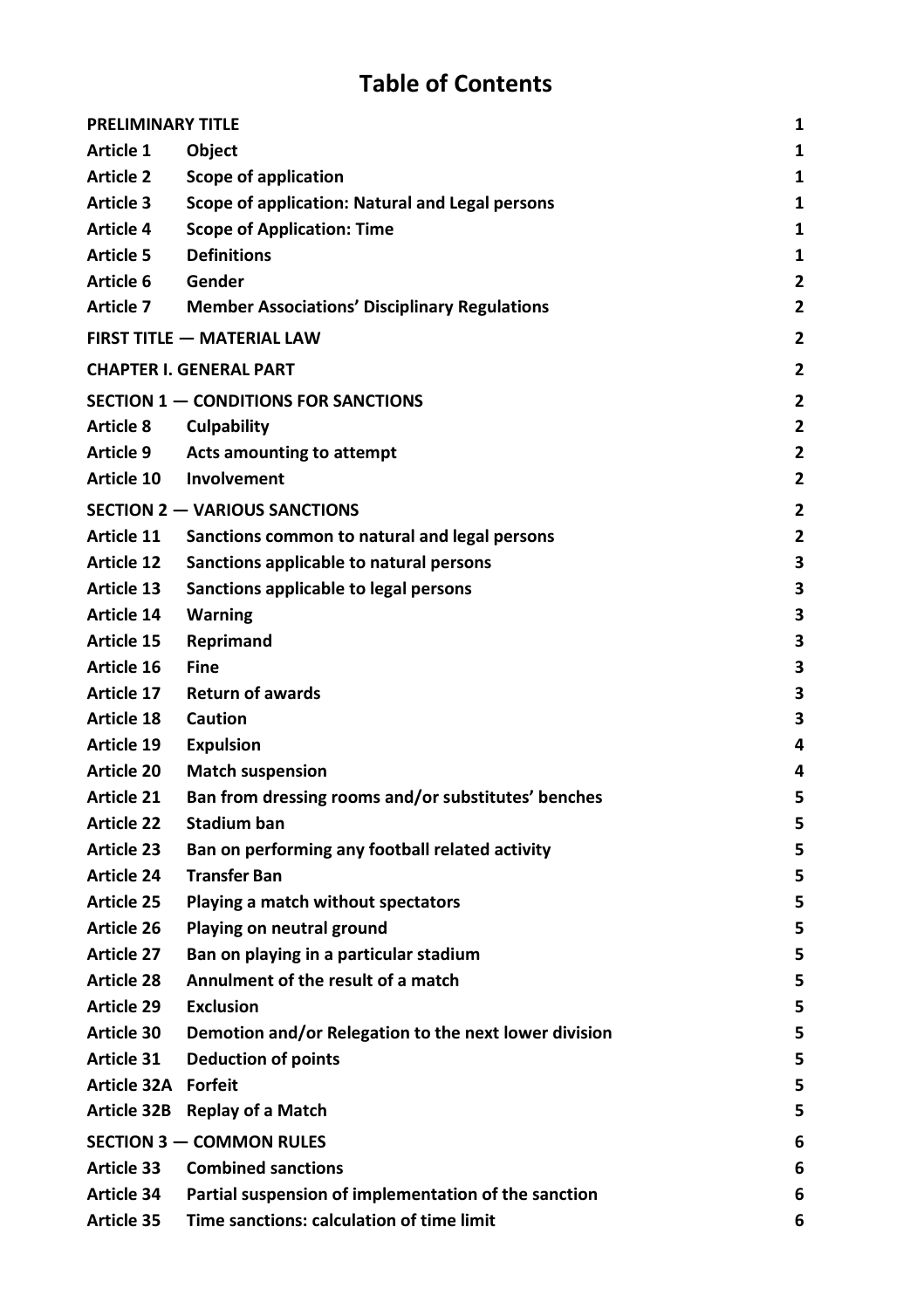## **Table of Contents**

| <b>PRELIMINARY TITLE</b><br>1 |                                                       |                |
|-------------------------------|-------------------------------------------------------|----------------|
| Article 1                     | <b>Object</b>                                         | 1              |
| <b>Article 2</b>              | Scope of application                                  | 1              |
| Article 3                     | Scope of application: Natural and Legal persons       | $\mathbf{1}$   |
| Article 4                     | <b>Scope of Application: Time</b>                     | 1              |
| <b>Article 5</b>              | <b>Definitions</b>                                    | 1              |
| Article 6                     | Gender                                                | 2              |
| Article 7                     | <b>Member Associations' Disciplinary Regulations</b>  | 2              |
|                               | <b>FIRST TITLE - MATERIAL LAW</b>                     | 2              |
|                               | <b>CHAPTER I. GENERAL PART</b>                        | 2              |
|                               | SECTION 1 - CONDITIONS FOR SANCTIONS                  | $\overline{2}$ |
| <b>Article 8</b>              | Culpability                                           | $\overline{2}$ |
| Article 9                     | Acts amounting to attempt                             | $\overline{2}$ |
| Article 10                    | Involvement                                           | 2              |
|                               | SECTION 2 - VARIOUS SANCTIONS                         | 2              |
| Article 11                    | Sanctions common to natural and legal persons         | $\overline{2}$ |
| Article 12                    | Sanctions applicable to natural persons               | 3              |
| Article 13                    | Sanctions applicable to legal persons                 | 3              |
| Article 14                    | Warning                                               | 3              |
| Article 15                    | Reprimand                                             | 3              |
| Article 16                    | Fine                                                  | 3              |
| Article 17                    | <b>Return of awards</b>                               | 3              |
| Article 18                    | Caution                                               | 3              |
| Article 19                    | <b>Expulsion</b>                                      | 4              |
| Article 20                    | <b>Match suspension</b>                               | 4              |
| Article 21                    | Ban from dressing rooms and/or substitutes' benches   | 5              |
| Article 22                    | Stadium ban                                           | 5              |
| Article 23                    | Ban on performing any football related activity       | 5              |
| Article 24                    | <b>Transfer Ban</b>                                   | 5              |
| Article 25                    | Playing a match without spectators                    | 5              |
| Article 26                    | Playing on neutral ground                             | 5              |
| Article 27                    | Ban on playing in a particular stadium                | 5              |
| Article 28                    | Annulment of the result of a match                    | 5              |
| Article 29                    | <b>Exclusion</b>                                      | 5              |
| Article 30                    | Demotion and/or Relegation to the next lower division | 5              |
| Article 31                    | <b>Deduction of points</b>                            | 5              |
| Article 32A Forfeit           |                                                       | 5              |
|                               | Article 32B Replay of a Match                         | 5              |
| SECTION 3 - COMMON RULES<br>6 |                                                       |                |
| Article 33                    | <b>Combined sanctions</b>                             | 6              |
| Article 34                    | Partial suspension of implementation of the sanction  | 6              |
| Article 35                    | Time sanctions: calculation of time limit             | 6              |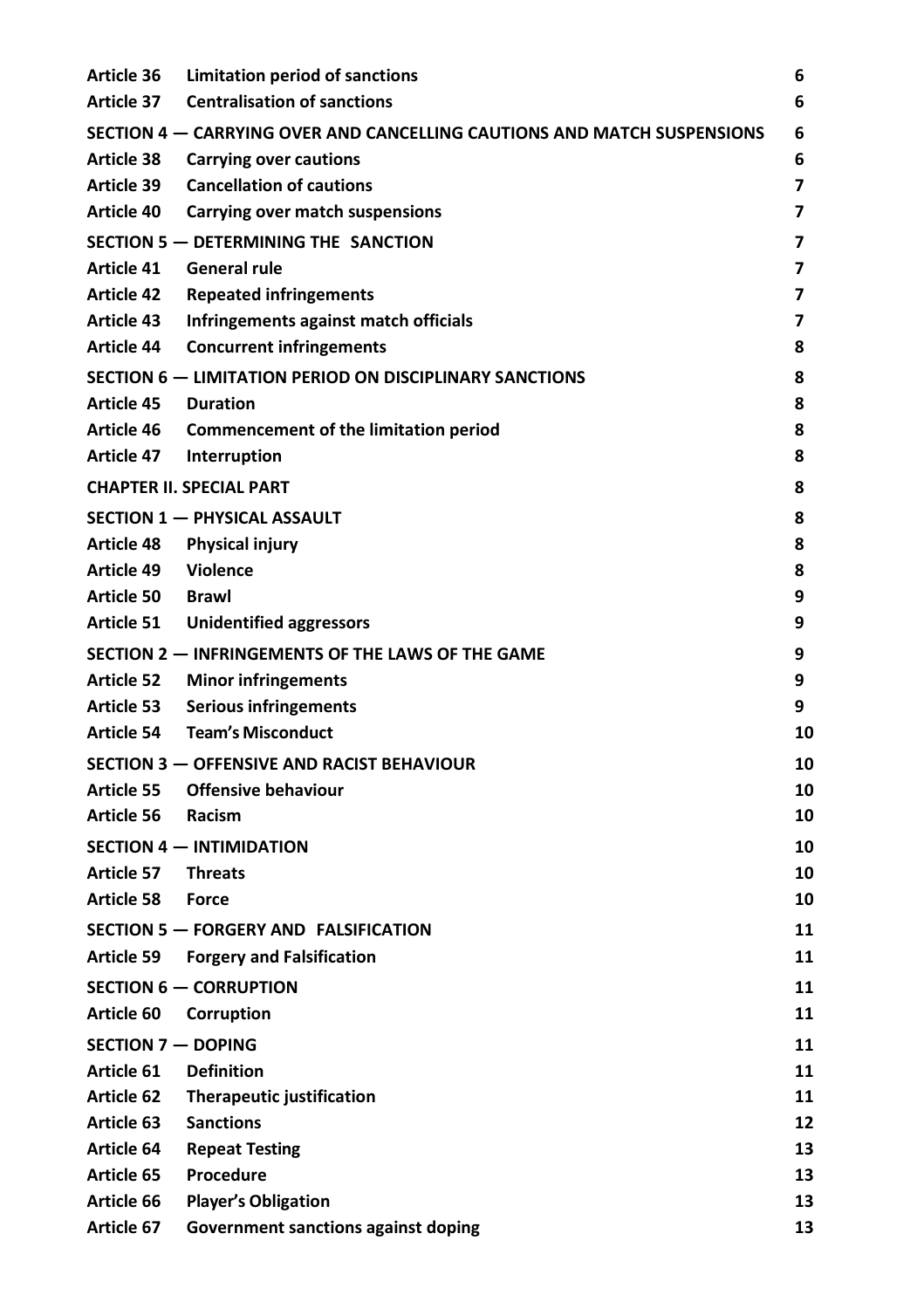| Article 37<br>Article 38<br>Article 39<br>Article 40 | <b>Centralisation of sanctions</b><br>SECTION 4 – CARRYING OVER AND CANCELLING CAUTIONS AND MATCH SUSPENSIONS<br>Carrying over cautions<br><b>Cancellation of cautions</b><br>Carrying over match suspensions<br>SECTION 5 - DETERMINING THE SANCTION<br><b>General rule</b> | 6<br>6<br>6<br>7<br>7<br>7 |
|------------------------------------------------------|------------------------------------------------------------------------------------------------------------------------------------------------------------------------------------------------------------------------------------------------------------------------------|----------------------------|
|                                                      |                                                                                                                                                                                                                                                                              |                            |
|                                                      |                                                                                                                                                                                                                                                                              |                            |
|                                                      |                                                                                                                                                                                                                                                                              |                            |
|                                                      |                                                                                                                                                                                                                                                                              |                            |
|                                                      |                                                                                                                                                                                                                                                                              |                            |
|                                                      |                                                                                                                                                                                                                                                                              |                            |
| Article 41                                           |                                                                                                                                                                                                                                                                              | 7                          |
| <b>Article 42</b>                                    | <b>Repeated infringements</b>                                                                                                                                                                                                                                                | 7                          |
| Article 43                                           | Infringements against match officials                                                                                                                                                                                                                                        | 7                          |
| Article 44                                           | <b>Concurrent infringements</b>                                                                                                                                                                                                                                              | 8                          |
|                                                      | SECTION 6 - LIMITATION PERIOD ON DISCIPLINARY SANCTIONS                                                                                                                                                                                                                      | 8                          |
| Article 45                                           | <b>Duration</b>                                                                                                                                                                                                                                                              | 8                          |
| Article 46                                           | Commencement of the limitation period                                                                                                                                                                                                                                        | 8                          |
|                                                      | Article 47 Interruption                                                                                                                                                                                                                                                      | 8                          |
|                                                      | <b>CHAPTER II. SPECIAL PART</b>                                                                                                                                                                                                                                              | 8                          |
|                                                      | <b>SECTION 1 - PHYSICAL ASSAULT</b>                                                                                                                                                                                                                                          | 8                          |
| Article 48                                           | Physical injury                                                                                                                                                                                                                                                              | 8                          |
| Article 49 Violence                                  |                                                                                                                                                                                                                                                                              | 8                          |
| Article 50 Brawl                                     |                                                                                                                                                                                                                                                                              | 9                          |
|                                                      | Article 51 Unidentified aggressors                                                                                                                                                                                                                                           | 9                          |
|                                                      | SECTION 2 - INFRINGEMENTS OF THE LAWS OF THE GAME                                                                                                                                                                                                                            | 9                          |
| Article 52                                           | <b>Minor infringements</b>                                                                                                                                                                                                                                                   | 9                          |
| Article 53                                           | <b>Serious infringements</b>                                                                                                                                                                                                                                                 | 9                          |
| Article 54                                           | <b>Team's Misconduct</b>                                                                                                                                                                                                                                                     | 10                         |
|                                                      | SECTION 3 - OFFENSIVE AND RACIST BEHAVIOUR                                                                                                                                                                                                                                   | 10                         |
| Article 55                                           | Offensive behaviour                                                                                                                                                                                                                                                          | 10                         |
| Article 56                                           | Racism                                                                                                                                                                                                                                                                       | 10                         |
|                                                      | SECTION 4 - INTIMIDATION                                                                                                                                                                                                                                                     | 10                         |
| Article 57                                           | <b>Threats</b>                                                                                                                                                                                                                                                               | 10                         |
| Article 58 Force                                     |                                                                                                                                                                                                                                                                              | 10                         |
|                                                      | SECTION 5 - FORGERY AND FALSIFICATION                                                                                                                                                                                                                                        | 11                         |
| Article 59                                           | <b>Forgery and Falsification</b>                                                                                                                                                                                                                                             | 11                         |
|                                                      | SECTION 6 - CORRUPTION                                                                                                                                                                                                                                                       | 11                         |
| Article 60                                           | Corruption                                                                                                                                                                                                                                                                   | 11                         |
| <b>SECTION 7 - DOPING</b>                            |                                                                                                                                                                                                                                                                              | 11                         |
| Article 61                                           | <b>Definition</b>                                                                                                                                                                                                                                                            | 11                         |
| Article 62                                           | <b>Therapeutic justification</b>                                                                                                                                                                                                                                             | 11                         |
| Article 63                                           | <b>Sanctions</b>                                                                                                                                                                                                                                                             | 12                         |
| Article 64                                           | <b>Repeat Testing</b>                                                                                                                                                                                                                                                        | 13                         |
| Article 65                                           | Procedure                                                                                                                                                                                                                                                                    | 13                         |
| Article 66                                           | <b>Player's Obligation</b>                                                                                                                                                                                                                                                   | 13                         |
| Article 67                                           | Government sanctions against doping                                                                                                                                                                                                                                          | 13                         |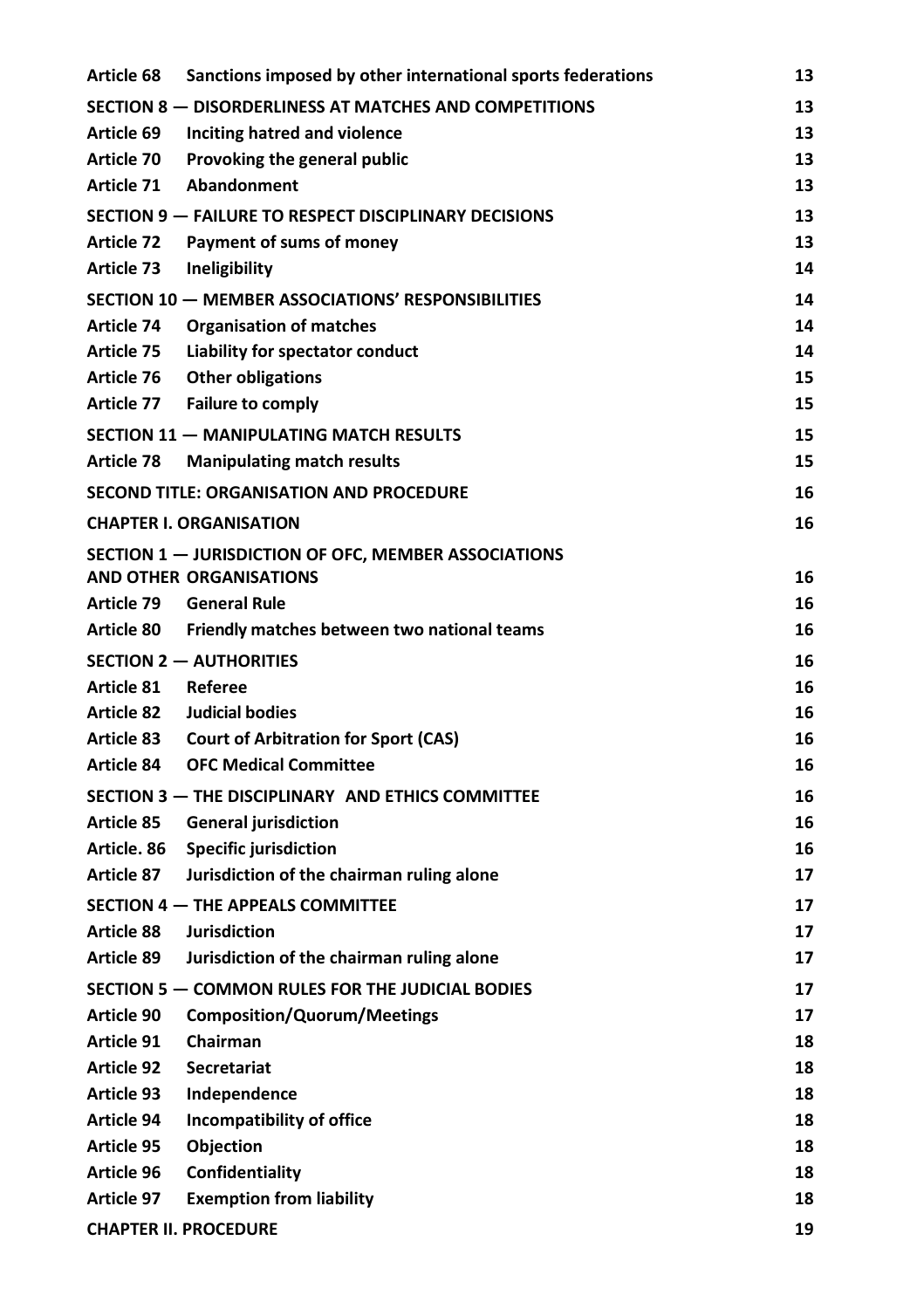| Article 68                                            | Sanctions imposed by other international sports federations | 13 |
|-------------------------------------------------------|-------------------------------------------------------------|----|
|                                                       | SECTION 8 - DISORDERLINESS AT MATCHES AND COMPETITIONS      | 13 |
| Article 69                                            | Inciting hatred and violence                                | 13 |
| Article 70                                            | Provoking the general public                                | 13 |
| Article 71                                            | Abandonment                                                 | 13 |
| SECTION 9 - FAILURE TO RESPECT DISCIPLINARY DECISIONS |                                                             |    |
| Article 72                                            | Payment of sums of money                                    | 13 |
| Article 73                                            | Ineligibility                                               | 14 |
|                                                       | SECTION 10 - MEMBER ASSOCIATIONS' RESPONSIBILITIES          | 14 |
| Article 74                                            | <b>Organisation of matches</b>                              | 14 |
| Article 75                                            | Liability for spectator conduct                             | 14 |
| Article 76                                            | <b>Other obligations</b>                                    | 15 |
| Article 77                                            | <b>Failure to comply</b>                                    | 15 |
|                                                       | SECTION 11 - MANIPULATING MATCH RESULTS                     | 15 |
| Article 78                                            | <b>Manipulating match results</b>                           | 15 |
|                                                       | <b>SECOND TITLE: ORGANISATION AND PROCEDURE</b>             | 16 |
|                                                       | <b>CHAPTER I. ORGANISATION</b>                              | 16 |
|                                                       | SECTION 1 - JURISDICTION OF OFC, MEMBER ASSOCIATIONS        |    |
|                                                       | <b>AND OTHER ORGANISATIONS</b>                              | 16 |
| Article 79                                            | <b>General Rule</b>                                         | 16 |
| Article 80                                            | Friendly matches between two national teams                 | 16 |
|                                                       | <b>SECTION 2 - AUTHORITIES</b>                              | 16 |
| Article 81                                            | Referee                                                     | 16 |
| Article 82                                            | Judicial bodies                                             | 16 |
| Article 83                                            | <b>Court of Arbitration for Sport (CAS)</b>                 | 16 |
| Article 84                                            | <b>OFC Medical Committee</b>                                | 16 |
|                                                       | SECTION 3 - THE DISCIPLINARY AND ETHICS COMMITTEE           | 16 |
| Article 85                                            | <b>General jurisdiction</b>                                 | 16 |
| Article. 86                                           | <b>Specific jurisdiction</b>                                | 16 |
| Article 87                                            | Jurisdiction of the chairman ruling alone                   | 17 |
|                                                       | SECTION 4 - THE APPEALS COMMITTEE                           | 17 |
| Article 88                                            | <b>Jurisdiction</b>                                         | 17 |
| Article 89                                            | Jurisdiction of the chairman ruling alone                   | 17 |
|                                                       | SECTION 5 - COMMON RULES FOR THE JUDICIAL BODIES            | 17 |
| Article 90                                            | <b>Composition/Quorum/Meetings</b>                          | 17 |
| Article 91                                            | Chairman                                                    | 18 |
| Article 92                                            | Secretariat                                                 | 18 |
| Article 93                                            | Independence                                                | 18 |
| Article 94                                            | Incompatibility of office                                   | 18 |
| Article 95                                            | Objection                                                   | 18 |
| Article 96                                            | Confidentiality                                             | 18 |
| Article 97                                            | <b>Exemption from liability</b>                             | 18 |
|                                                       | <b>CHAPTER II. PROCEDURE</b>                                | 19 |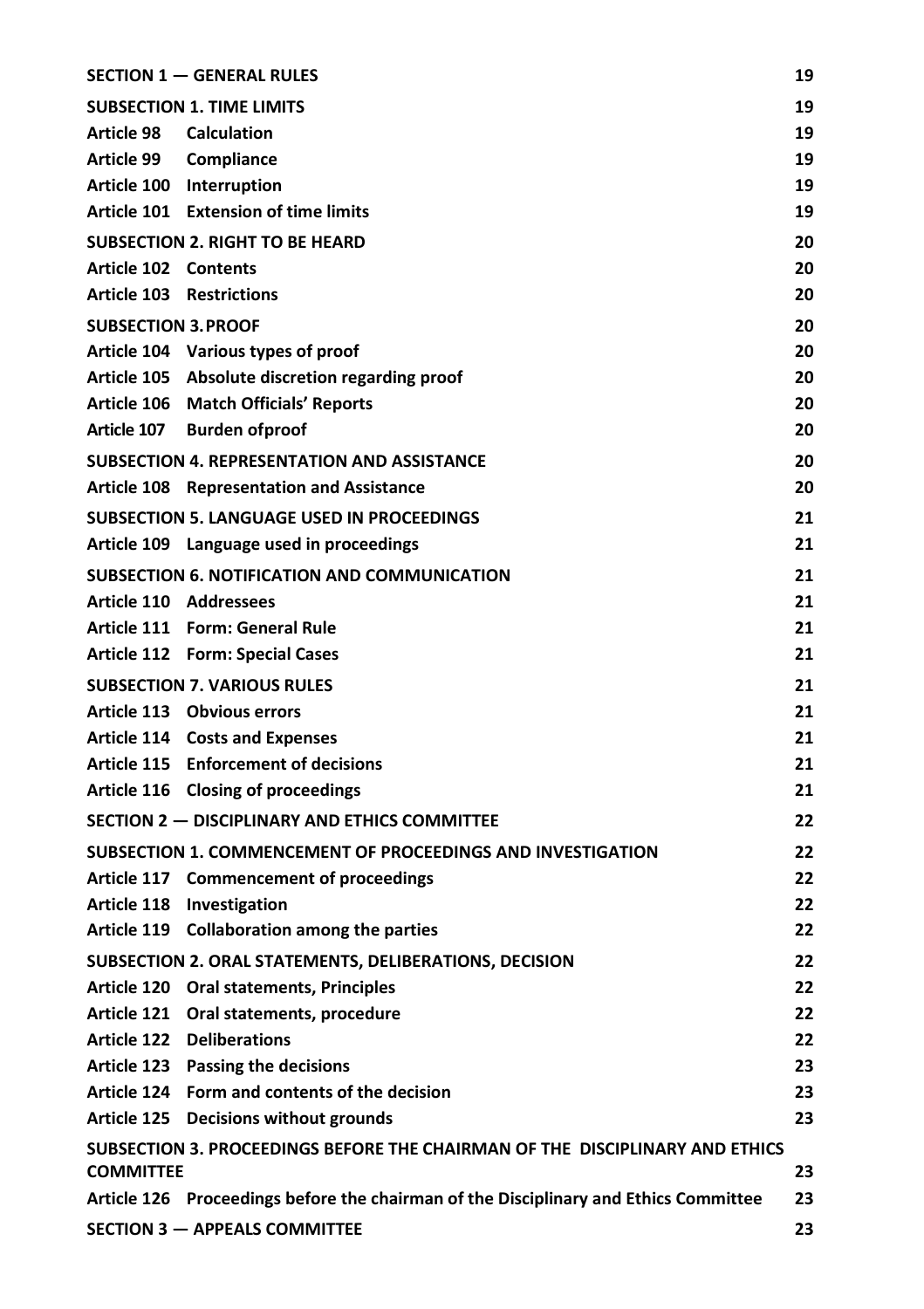|                                                                              | <b>SECTION 1 - GENERAL RULES</b>                                                     | 19 |  |
|------------------------------------------------------------------------------|--------------------------------------------------------------------------------------|----|--|
|                                                                              | <b>SUBSECTION 1. TIME LIMITS</b>                                                     | 19 |  |
| Article 98                                                                   | <b>Calculation</b>                                                                   | 19 |  |
| Article 99 Compliance                                                        |                                                                                      | 19 |  |
| Article 100 Interruption                                                     |                                                                                      | 19 |  |
|                                                                              | Article 101 Extension of time limits                                                 | 19 |  |
|                                                                              | <b>SUBSECTION 2. RIGHT TO BE HEARD</b>                                               | 20 |  |
| Article 102 Contents                                                         |                                                                                      | 20 |  |
| <b>Article 103 Restrictions</b>                                              |                                                                                      | 20 |  |
| <b>SUBSECTION 3. PROOF</b>                                                   |                                                                                      | 20 |  |
|                                                                              | Article 104 Various types of proof                                                   | 20 |  |
|                                                                              | Article 105 Absolute discretion regarding proof                                      | 20 |  |
|                                                                              | Article 106 Match Officials' Reports                                                 | 20 |  |
|                                                                              | Article 107 Burden of proof                                                          | 20 |  |
|                                                                              | <b>SUBSECTION 4. REPRESENTATION AND ASSISTANCE</b>                                   | 20 |  |
|                                                                              | Article 108 Representation and Assistance                                            | 20 |  |
|                                                                              | <b>SUBSECTION 5. LANGUAGE USED IN PROCEEDINGS</b>                                    | 21 |  |
|                                                                              | Article 109 Language used in proceedings                                             | 21 |  |
|                                                                              | SUBSECTION 6. NOTIFICATION AND COMMUNICATION                                         | 21 |  |
| Article 110 Addressees                                                       |                                                                                      | 21 |  |
|                                                                              | Article 111 Form: General Rule                                                       | 21 |  |
|                                                                              | Article 112 Form: Special Cases                                                      | 21 |  |
|                                                                              | <b>SUBSECTION 7. VARIOUS RULES</b>                                                   | 21 |  |
|                                                                              | Article 113 Obvious errors                                                           | 21 |  |
|                                                                              | Article 114 Costs and Expenses                                                       | 21 |  |
|                                                                              | Article 115 Enforcement of decisions                                                 | 21 |  |
|                                                                              | Article 116 Closing of proceedings                                                   | 21 |  |
|                                                                              | SECTION 2 - DISCIPLINARY AND ETHICS COMMITTEE                                        | 22 |  |
|                                                                              | SUBSECTION 1. COMMENCEMENT OF PROCEEDINGS AND INVESTIGATION                          | 22 |  |
|                                                                              | Article 117 Commencement of proceedings                                              | 22 |  |
| Article 118 Investigation                                                    |                                                                                      | 22 |  |
|                                                                              | Article 119 Collaboration among the parties                                          | 22 |  |
|                                                                              | SUBSECTION 2. ORAL STATEMENTS, DELIBERATIONS, DECISION                               | 22 |  |
|                                                                              | Article 120 Oral statements, Principles                                              | 22 |  |
|                                                                              | Article 121 Oral statements, procedure                                               | 22 |  |
| <b>Article 122 Deliberations</b>                                             |                                                                                      | 22 |  |
|                                                                              | Article 123 Passing the decisions                                                    | 23 |  |
|                                                                              | Article 124 Form and contents of the decision                                        | 23 |  |
|                                                                              | Article 125 Decisions without grounds                                                | 23 |  |
| SUBSECTION 3. PROCEEDINGS BEFORE THE CHAIRMAN OF THE DISCIPLINARY AND ETHICS |                                                                                      |    |  |
| <b>COMMITTEE</b>                                                             |                                                                                      | 23 |  |
|                                                                              | Article 126 Proceedings before the chairman of the Disciplinary and Ethics Committee | 23 |  |
|                                                                              | <b>SECTION 3 - APPEALS COMMITTEE</b>                                                 | 23 |  |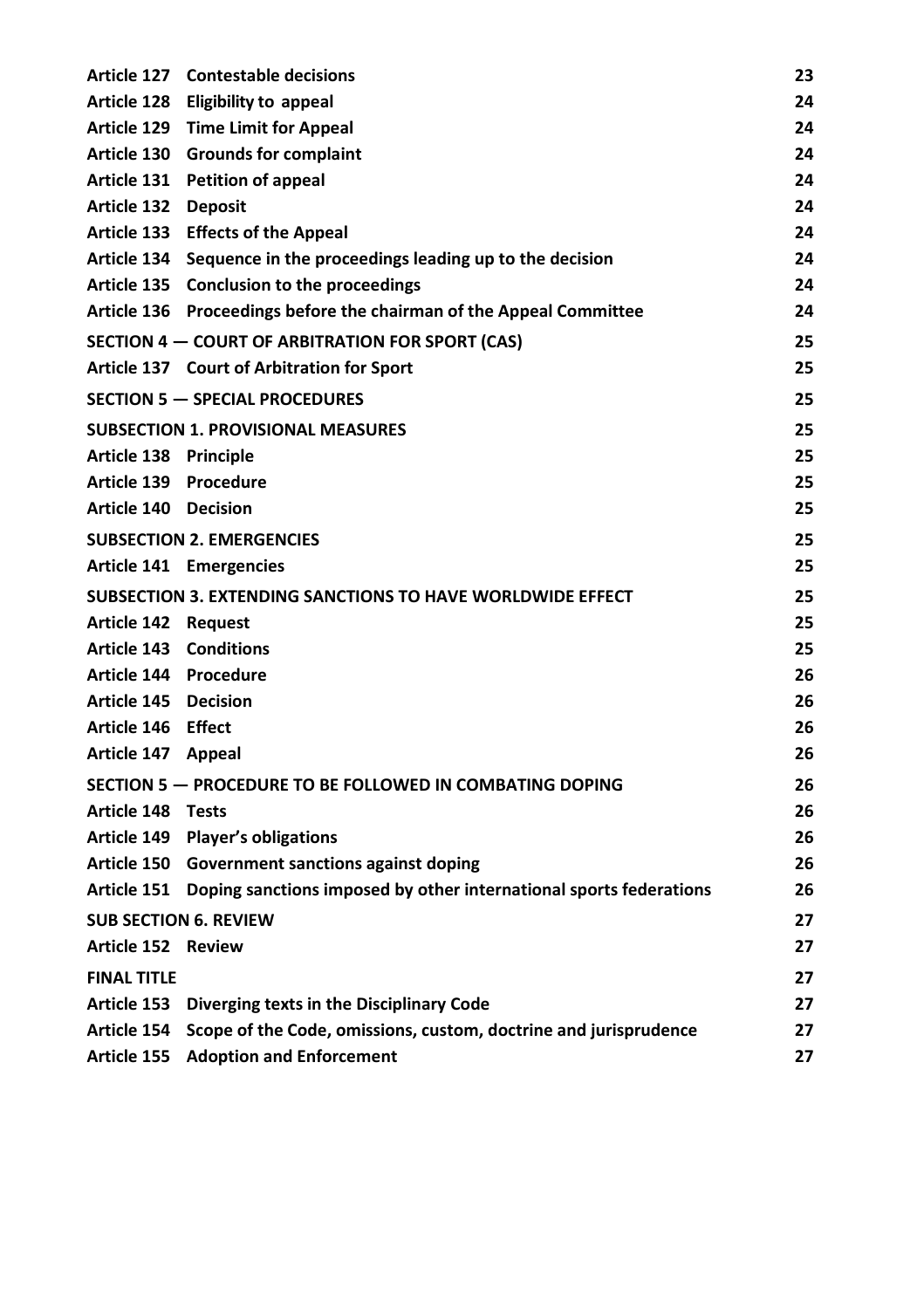|                               | Article 127 Contestable decisions                                              | 23 |
|-------------------------------|--------------------------------------------------------------------------------|----|
|                               | Article 128 Eligibility to appeal                                              | 24 |
|                               | Article 129 Time Limit for Appeal                                              | 24 |
|                               | Article 130 Grounds for complaint                                              | 24 |
|                               | Article 131 Petition of appeal                                                 | 24 |
| Article 132 Deposit           |                                                                                | 24 |
|                               | Article 133 Effects of the Appeal                                              | 24 |
|                               | Article 134 Sequence in the proceedings leading up to the decision             | 24 |
|                               | Article 135 Conclusion to the proceedings                                      | 24 |
|                               | Article 136 Proceedings before the chairman of the Appeal Committee            | 24 |
|                               | SECTION 4 - COURT OF ARBITRATION FOR SPORT (CAS)                               | 25 |
|                               | Article 137 Court of Arbitration for Sport                                     | 25 |
|                               | <b>SECTION 5 - SPECIAL PROCEDURES</b>                                          | 25 |
|                               | <b>SUBSECTION 1. PROVISIONAL MEASURES</b>                                      | 25 |
| Article 138 Principle         |                                                                                | 25 |
| Article 139 Procedure         |                                                                                | 25 |
| Article 140 Decision          |                                                                                | 25 |
|                               | <b>SUBSECTION 2. EMERGENCIES</b>                                               | 25 |
|                               | Article 141 Emergencies                                                        | 25 |
|                               | SUBSECTION 3. EXTENDING SANCTIONS TO HAVE WORLDWIDE EFFECT                     | 25 |
| Article 142 Request           |                                                                                | 25 |
| <b>Article 143 Conditions</b> |                                                                                | 25 |
| Article 144 Procedure         |                                                                                | 26 |
| Article 145 Decision          |                                                                                | 26 |
| Article 146 Effect            |                                                                                | 26 |
| Article 147 Appeal            |                                                                                | 26 |
|                               | SECTION 5 - PROCEDURE TO BE FOLLOWED IN COMBATING DOPING                       | 26 |
| Article 148 Tests             |                                                                                | 26 |
|                               | Article 149 Player's obligations                                               | 26 |
|                               | Article 150 Government sanctions against doping                                | 26 |
|                               | Article 151 Doping sanctions imposed by other international sports federations | 26 |
| <b>SUB SECTION 6. REVIEW</b>  |                                                                                | 27 |
| Article 152 Review            |                                                                                | 27 |
| <b>FINAL TITLE</b>            |                                                                                | 27 |
|                               | Article 153 Diverging texts in the Disciplinary Code                           | 27 |
|                               | Article 154 Scope of the Code, omissions, custom, doctrine and jurisprudence   | 27 |
|                               | Article 155 Adoption and Enforcement                                           | 27 |
|                               |                                                                                |    |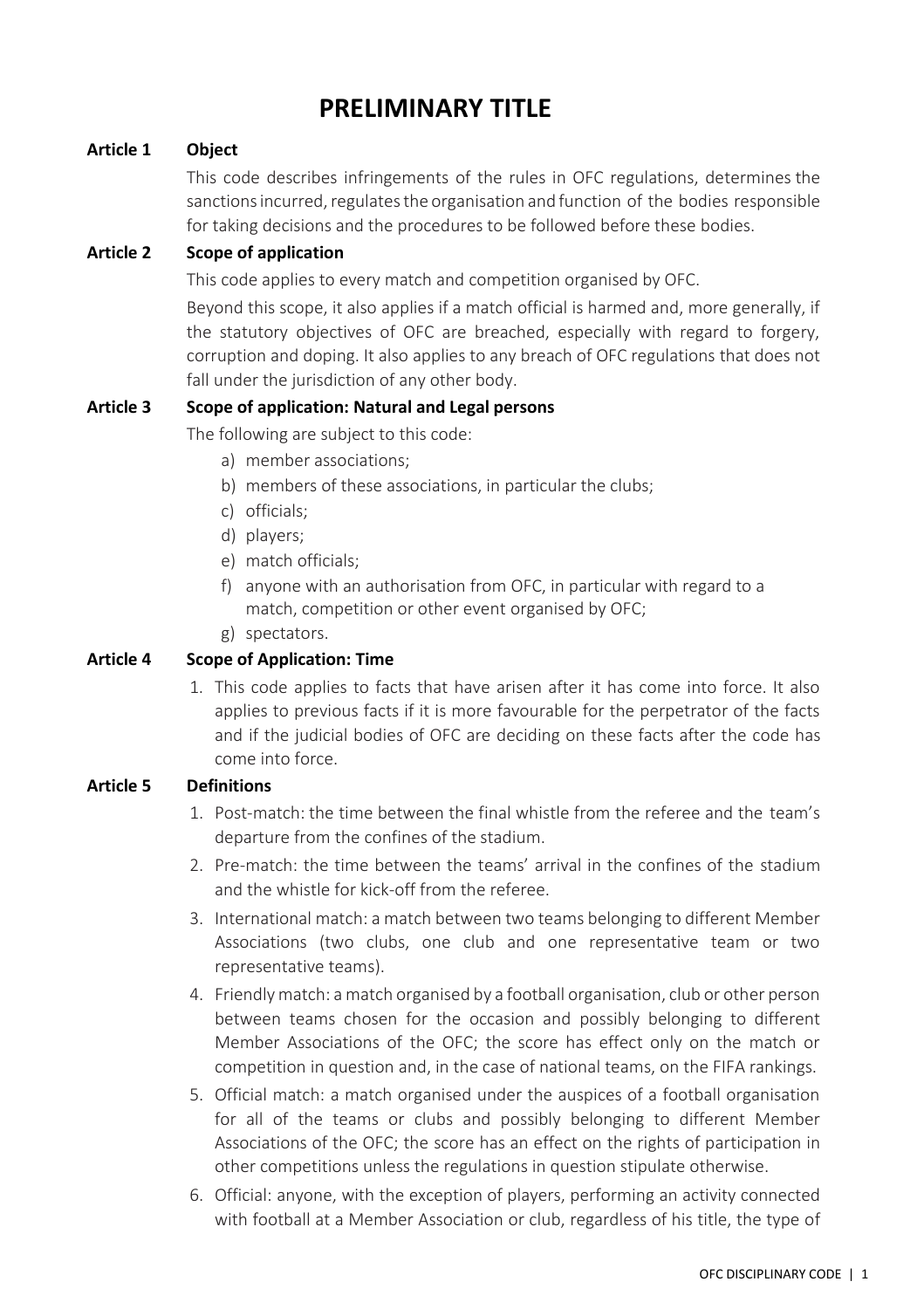## **PRELIMINARY TITLE**

#### <span id="page-7-1"></span><span id="page-7-0"></span>**Article 1 Object**

This code describes infringements of the rules in OFC regulations, determines the sanctions incurred, regulates the organisation and function of the bodies responsible for taking decisions and the procedures to be followed before these bodies.

#### <span id="page-7-2"></span>**Article 2 Scope of application**

This code applies to every match and competition organised by OFC.

Beyond this scope, it also applies if a match official is harmed and, more generally, if the statutory objectives of OFC are breached, especially with regard to forgery, corruption and doping. It also applies to any breach of OFC regulations that does not fall under the jurisdiction of any other body.

#### <span id="page-7-3"></span>**Article 3 Scope of application: Natural and Legal persons**

The following are subject to this code:

- a) member associations;
- b) members of these associations, in particular the clubs;
- c) officials;
- d) players;
- e) match officials;
- f) anyone with an authorisation from OFC, in particular with regard to a match, competition or other event organised by OFC;
- g) spectators.

#### <span id="page-7-4"></span>**Article 4 Scope of Application: Time**

1. This code applies to facts that have arisen after it has come into force. It also applies to previous facts if it is more favourable for the perpetrator of the facts and if the judicial bodies of OFC are deciding on these facts after the code has come into force.

#### <span id="page-7-5"></span>**Article 5 Definitions**

- 1. Post-match: the time between the final whistle from the referee and the team's departure from the confines of the stadium.
- 2. Pre-match: the time between the teams' arrival in the confines of the stadium and the whistle for kick-off from the referee.
- 3. International match: a match between two teams belonging to different Member Associations (two clubs, one club and one representative team or two representative teams).
- 4. Friendly match: a match organised by a football organisation, club or other person between teams chosen for the occasion and possibly belonging to different Member Associations of the OFC; the score has effect only on the match or competition in question and, in the case of national teams, on the FIFA rankings.
- 5. Official match: a match organised under the auspices of a football organisation for all of the teams or clubs and possibly belonging to different Member Associations of the OFC; the score has an effect on the rights of participation in other competitions unless the regulations in question stipulate otherwise.
- 6. Official: anyone, with the exception of players, performing an activity connected with football at a Member Association or club, regardless of his title, the type of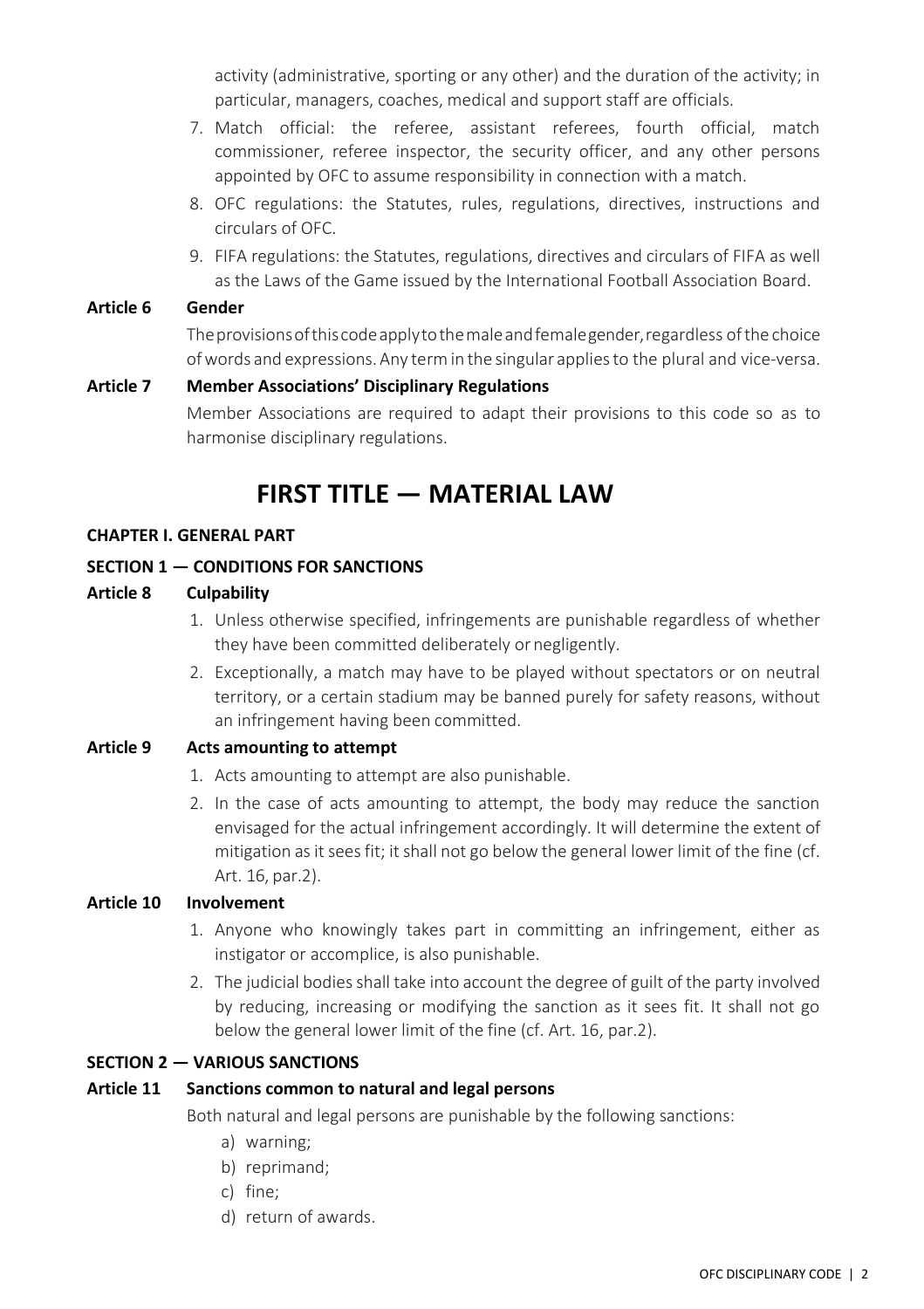activity (administrative, sporting or any other) and the duration of the activity; in particular, managers, coaches, medical and support staff are officials.

- 7. Match official: the referee, assistant referees, fourth official, match commissioner, referee inspector, the security officer, and any other persons appointed by OFC to assume responsibility in connection with a match.
- 8. OFC regulations: the Statutes, rules, regulations, directives, instructions and circulars of OFC.
- 9. FIFA regulations: the Statutes, regulations, directives and circulars of FIFA as well as the Laws of the Game issued by the International Football Association Board.

#### <span id="page-8-0"></span>**Article 6 Gender**

Theprovisionsofthiscodeapplytothemaleandfemalegender,regardless ofthe choice ofwords and expressions.Any termin the singular appliesto the plural and vice-versa.

#### <span id="page-8-2"></span><span id="page-8-1"></span>**Article 7 Member Associations' Disciplinary Regulations**

Member Associations are required to adapt their provisions to this code so as to harmonise disciplinary regulations.

## **FIRST TITLE — MATERIAL LAW**

#### <span id="page-8-3"></span>**CHAPTER I. GENERAL PART**

#### <span id="page-8-4"></span>**SECTION 1 — CONDITIONS FOR SANCTIONS**

#### <span id="page-8-5"></span>**Article 8 Culpability**

- 1. Unless otherwise specified, infringements are punishable regardless of whether they have been committed deliberately ornegligently.
- 2. Exceptionally, a match may have to be played without spectators or on neutral territory, or a certain stadium may be banned purely for safety reasons, without an infringement having been committed.

#### <span id="page-8-6"></span>**Article 9 Acts amounting to attempt**

- 1. Acts amounting to attempt are also punishable.
- 2. In the case of acts amounting to attempt, the body may reduce the sanction envisaged for the actual infringement accordingly. It will determine the extent of mitigation as it sees fit; it shall not go below the general lower limit of the fine (cf. Art. 16, par.2).

#### <span id="page-8-7"></span>**Article 10 Involvement**

- 1. Anyone who knowingly takes part in committing an infringement, either as instigator or accomplice, is also punishable.
- 2. The judicial bodies shall take into account the degree of guilt of the party involved by reducing, increasing or modifying the sanction as it sees fit. It shall not go below the general lower limit of the fine (cf. Art. 16, par.2).

#### <span id="page-8-8"></span>**SECTION 2 — VARIOUS SANCTIONS**

#### <span id="page-8-9"></span>**Article 11 Sanctions common to natural and legal persons**

Both natural and legal persons are punishable by the following sanctions:

- a) warning;
- b) reprimand;
- c) fine;
- d) return of awards.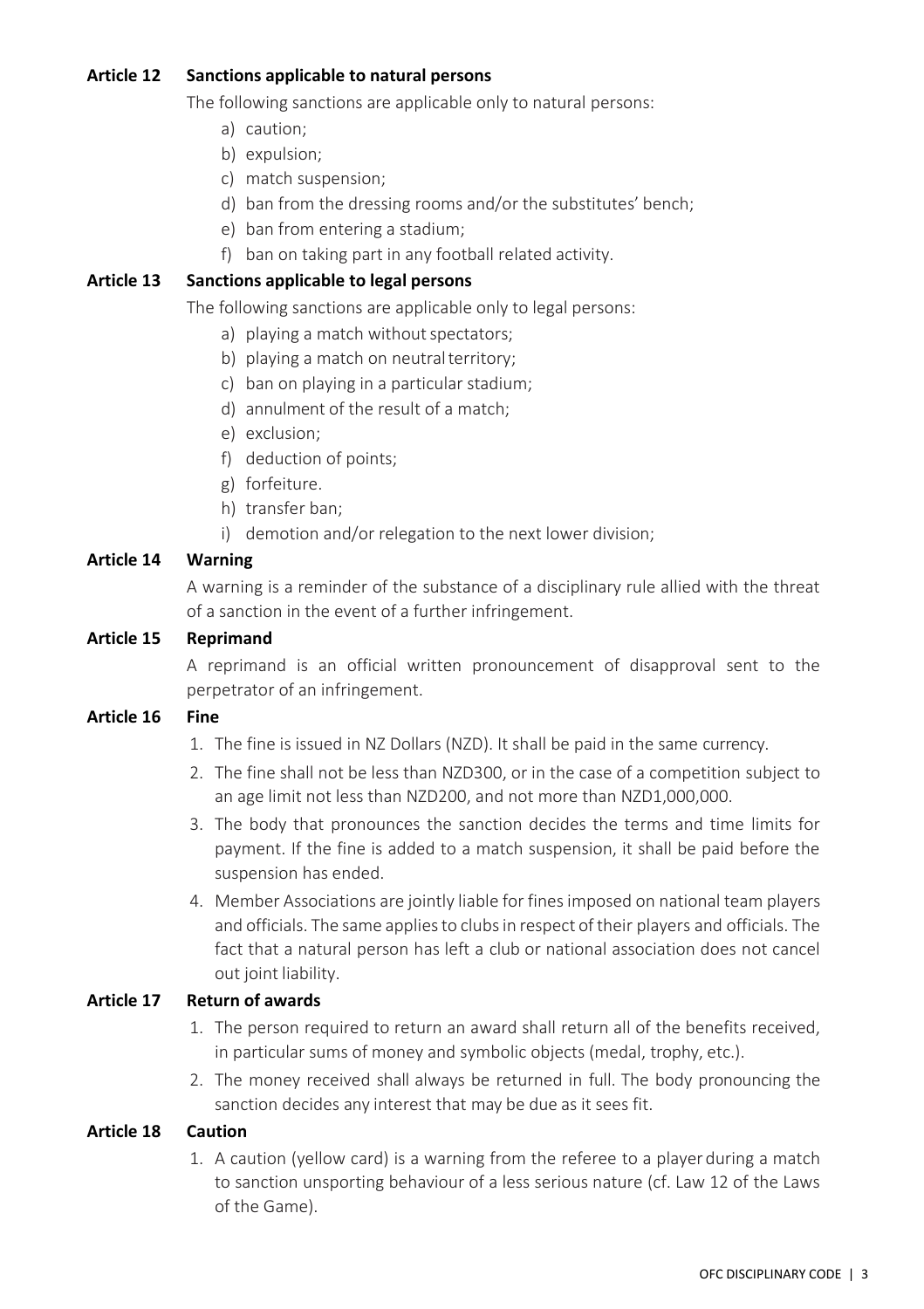#### <span id="page-9-0"></span>**Article 12 Sanctions applicable to natural persons**

The following sanctions are applicable only to natural persons:

- a) caution;
- b) expulsion;
- c) match suspension;
- d) ban from the dressing rooms and/or the substitutes' bench;
- e) ban from entering a stadium;
- f) ban on taking part in any football related activity.

#### <span id="page-9-1"></span>**Article 13 Sanctions applicable to legal persons**

The following sanctions are applicable only to legal persons:

- a) playing a match without spectators;
- b) playing a match on neutral territory;
- c) ban on playing in a particular stadium;
- d) annulment of the result of a match;
- e) exclusion;
- f) deduction of points;
- g) forfeiture.
- h) transfer ban;
- i) demotion and/or relegation to the next lower division;

#### <span id="page-9-2"></span>**Article 14 Warning**

A warning is a reminder of the substance of a disciplinary rule allied with the threat of a sanction in the event of a further infringement.

#### <span id="page-9-3"></span>**Article 15 Reprimand**

A reprimand is an official written pronouncement of disapproval sent to the perpetrator of an infringement.

#### <span id="page-9-4"></span>**Article 16 Fine**

- 1. The fine is issued in NZ Dollars (NZD). It shall be paid in the same currency.
- 2. The fine shall not be less than NZD300, or in the case of a competition subject to an age limit not less than NZD200, and not more than NZD1,000,000.
- 3. The body that pronounces the sanction decides the terms and time limits for payment. If the fine is added to a match suspension, it shall be paid before the suspension has ended.
- 4. Member Associations are jointly liable for fines imposed on national team players and officials. The same appliesto clubsin respect of their players and officials. The fact that a natural person has left a club or national association does not cancel out joint liability.

#### <span id="page-9-5"></span>**Article 17 Return of awards**

- 1. The person required to return an award shall return all of the benefits received, in particular sums of money and symbolic objects (medal, trophy, etc.).
- 2. The money received shall always be returned in full. The body pronouncing the sanction decides any interest that may be due as it sees fit.

#### <span id="page-9-6"></span>**Article 18 Caution**

1. A caution (yellow card) is a warning from the referee to a player during a match to sanction unsporting behaviour of a less serious nature (cf. Law 12 of the Laws of the Game).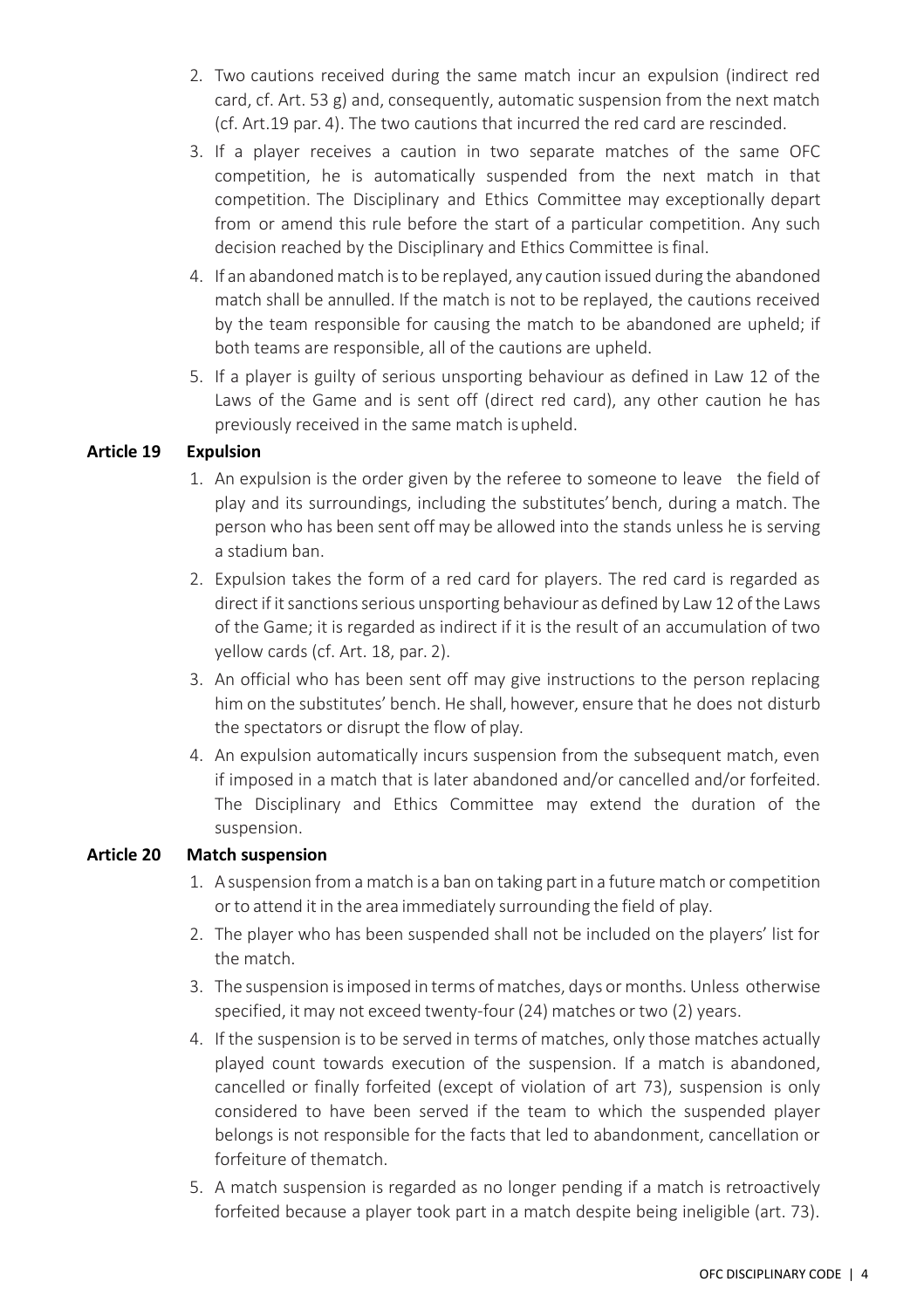- 2. Two cautions received during the same match incur an expulsion (indirect red card, cf. Art. 53 g) and, consequently, automatic suspension from the next match (cf. Art.19 par. 4). The two cautions that incurred the red card are rescinded.
- 3. If a player receives a caution in two separate matches of the same OFC competition, he is automatically suspended from the next match in that competition. The Disciplinary and Ethics Committee may exceptionally depart from or amend this rule before the start of a particular competition. Any such decision reached by the Disciplinary and Ethics Committee isfinal.
- 4. If an abandoned match isto be replayed, any caution issued during the abandoned match shall be annulled. If the match is not to be replayed, the cautions received by the team responsible for causing the match to be abandoned are upheld; if both teams are responsible, all of the cautions are upheld.
- 5. If a player is guilty of serious unsporting behaviour as defined in Law 12 of the Laws of the Game and is sent off (direct red card), any other caution he has previously received in the same match isupheld.

#### <span id="page-10-0"></span>**Article 19 Expulsion**

- 1. An expulsion is the order given by the referee to someone to leave the field of play and its surroundings, including the substitutes'bench, during a match. The person who has been sent off may be allowed into the stands unless he is serving a stadium ban.
- 2. Expulsion takes the form of a red card for players. The red card is regarded as direct if it sanctions serious unsporting behaviour as defined by Law12 ofthe Laws of the Game; it is regarded as indirect if it is the result of an accumulation of two yellow cards (cf. Art. 18, par. 2).
- 3. An official who has been sent off may give instructions to the person replacing him on the substitutes' bench. He shall, however, ensure that he does not disturb the spectators or disrupt the flow of play.
- 4. An expulsion automatically incurs suspension from the subsequent match, even if imposed in a match that is later abandoned and/or cancelled and/or forfeited. The Disciplinary and Ethics Committee may extend the duration of the suspension.

#### <span id="page-10-1"></span>**Article 20 Match suspension**

- 1. A suspension from a match is a ban on taking partin a future match or competition or to attend it in the area immediately surrounding the field of play.
- 2. The player who has been suspended shall not be included on the players' list for the match.
- 3. The suspension isimposed in terms ofmatches, days or months. Unless otherwise specified, it may not exceed twenty-four (24) matches or two (2) years.
- 4. If the suspension is to be served in terms of matches, only those matches actually played count towards execution of the suspension. If a match is abandoned, cancelled or finally forfeited (except of violation of art 73), suspension is only considered to have been served if the team to which the suspended player belongs is not responsible for the facts that led to abandonment, cancellation or forfeiture of thematch.
- 5. A match suspension is regarded as no longer pending if a match is retroactively forfeited because a player took part in a match despite being ineligible (art. 73).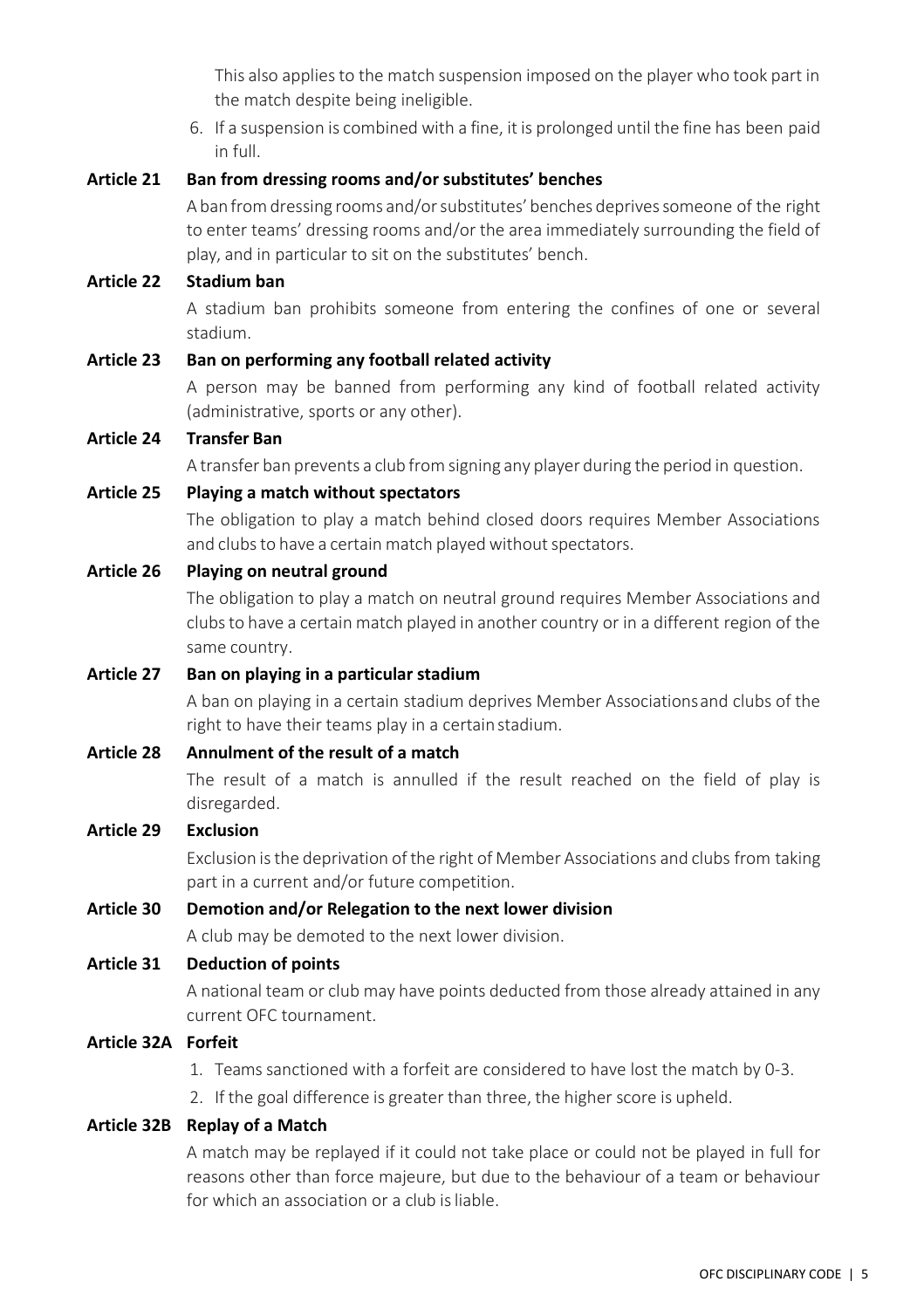This also applies to the match suspension imposed on the player who took part in the match despite being ineligible.

6. If a suspension is combined with a fine, it is prolonged until the fine has been paid in full.

#### <span id="page-11-0"></span>**Article 21 Ban from dressing rooms and/or substitutes' benches**

A ban from dressing rooms and/or substitutes' benches deprives someone of the right to enter teams' dressing rooms and/or the area immediately surrounding the field of play, and in particular to sit on the substitutes' bench.

#### <span id="page-11-1"></span>**Article 22 Stadium ban**

A stadium ban prohibits someone from entering the confines of one or several stadium.

#### <span id="page-11-2"></span>**Article 23 Ban on performing any football related activity**

A person may be banned from performing any kind of football related activity (administrative, sports or any other).

#### <span id="page-11-3"></span>**Article 24 Transfer Ban**

A transfer ban prevents a club from signing any player during the period in question.

#### <span id="page-11-4"></span>**Article 25 Playing a match without spectators**

The obligation to play a match behind closed doors requires Member Associations and clubs to have a certain match played without spectators.

#### <span id="page-11-5"></span>**Article 26 Playing on neutral ground**

The obligation to play a match on neutral ground requires Member Associations and clubsto have a certain match played in another country or in a different region of the same country.

#### <span id="page-11-6"></span>**Article 27 Ban on playing in a particular stadium**

A ban on playing in a certain stadium deprives Member Associationsand clubs of the right to have their teams play in a certainstadium.

#### <span id="page-11-7"></span>**Article 28 Annulment of the result of a match**

The result of a match is annulled if the result reached on the field of play is disregarded.

#### <span id="page-11-8"></span>**Article 29 Exclusion**

Exclusion isthe deprivation of the right of Member Associations and clubs from taking part in a current and/or future competition.

#### <span id="page-11-9"></span>**Article 30 Demotion and/or Relegation to the next lower division**

A club may be demoted to the next lower division.

#### <span id="page-11-10"></span>**Article 31 Deduction of points**

A national team or club may have points deducted from those already attained in any current OFC tournament.

- <span id="page-11-11"></span>**Article 32A Forfeit**
	- 1. Teams sanctioned with a forfeit are considered to have lost the match by 0-3.
	- 2. If the goal difference is greater than three, the higher score is upheld.

#### <span id="page-11-12"></span>**Article 32B Replay of a Match**

A match may be replayed if it could not take place or could not be played in full for reasons other than force majeure, but due to the behaviour of a team or behaviour for which an association or a club isliable.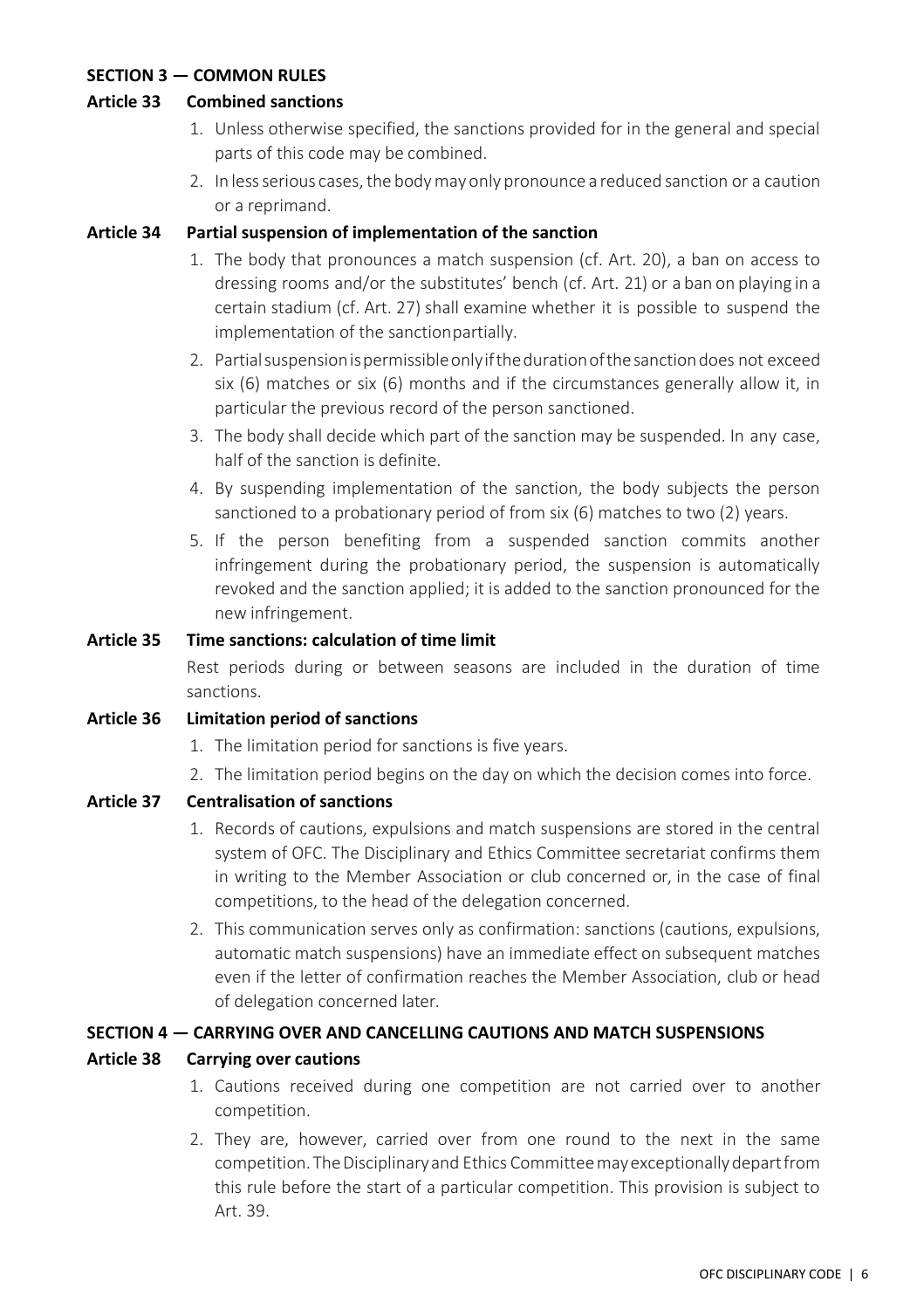#### <span id="page-12-0"></span>**SECTION 3 — COMMON RULES**

#### <span id="page-12-1"></span>**Article 33 Combined sanctions**

- 1. Unless otherwise specified, the sanctions provided for in the general and special parts of this code may be combined.
- 2. In less serious cases, the body may only pronounce a reduced sanction or a caution or a reprimand.

#### <span id="page-12-2"></span>**Article 34 Partial suspension of implementation of the sanction**

- 1. The body that pronounces a match suspension (cf. Art. 20), a ban on access to dressing rooms and/or the substitutes' bench (cf. Art. 21) or a ban on playing in a certain stadium (cf. Art. 27) shall examine whether it is possible to suspend the implementation of the sanctionpartially.
- 2. Partialsuspensionispermissibleonlyifthedurationofthesanctiondoes not exceed six (6) matches or six (6) months and if the circumstances generally allow it, in particular the previous record of the person sanctioned.
- 3. The body shall decide which part of the sanction may be suspended. In any case, half of the sanction is definite.
- 4. By suspending implementation of the sanction, the body subjects the person sanctioned to a probationary period of from six (6) matches to two (2) years.
- 5. If the person benefiting from a suspended sanction commits another infringement during the probationary period, the suspension is automatically revoked and the sanction applied; it is added to the sanction pronounced for the new infringement.

#### <span id="page-12-3"></span>**Article 35 Time sanctions: calculation of time limit**

Rest periods during or between seasons are included in the duration of time sanctions.

#### <span id="page-12-4"></span>**Article 36 Limitation period of sanctions**

- 1. The limitation period for sanctions is five years.
- 2. The limitation period begins on the day on which the decision comes into force.

#### <span id="page-12-5"></span>**Article 37 Centralisation of sanctions**

- 1. Records of cautions, expulsions and match suspensions are stored in the central system of OFC. The Disciplinary and Ethics Committee secretariat confirms them in writing to the Member Association or club concerned or, in the case of final competitions, to the head of the delegation concerned.
- 2. This communication serves only as confirmation: sanctions (cautions, expulsions, automatic match suspensions) have an immediate effect on subsequent matches even if the letter of confirmation reaches the Member Association, club or head of delegation concerned later.

#### <span id="page-12-6"></span>**SECTION 4 — CARRYING OVER AND CANCELLING CAUTIONS AND MATCH SUSPENSIONS**

#### <span id="page-12-7"></span>**Article 38 Carrying over cautions**

- 1. Cautions received during one competition are not carried over to another competition.
- 2. They are, however, carried over from one round to the next in the same competition. The Disciplinary and Ethics Committee may exceptionally depart from this rule before the start of a particular competition. This provision is subject to Art. 39.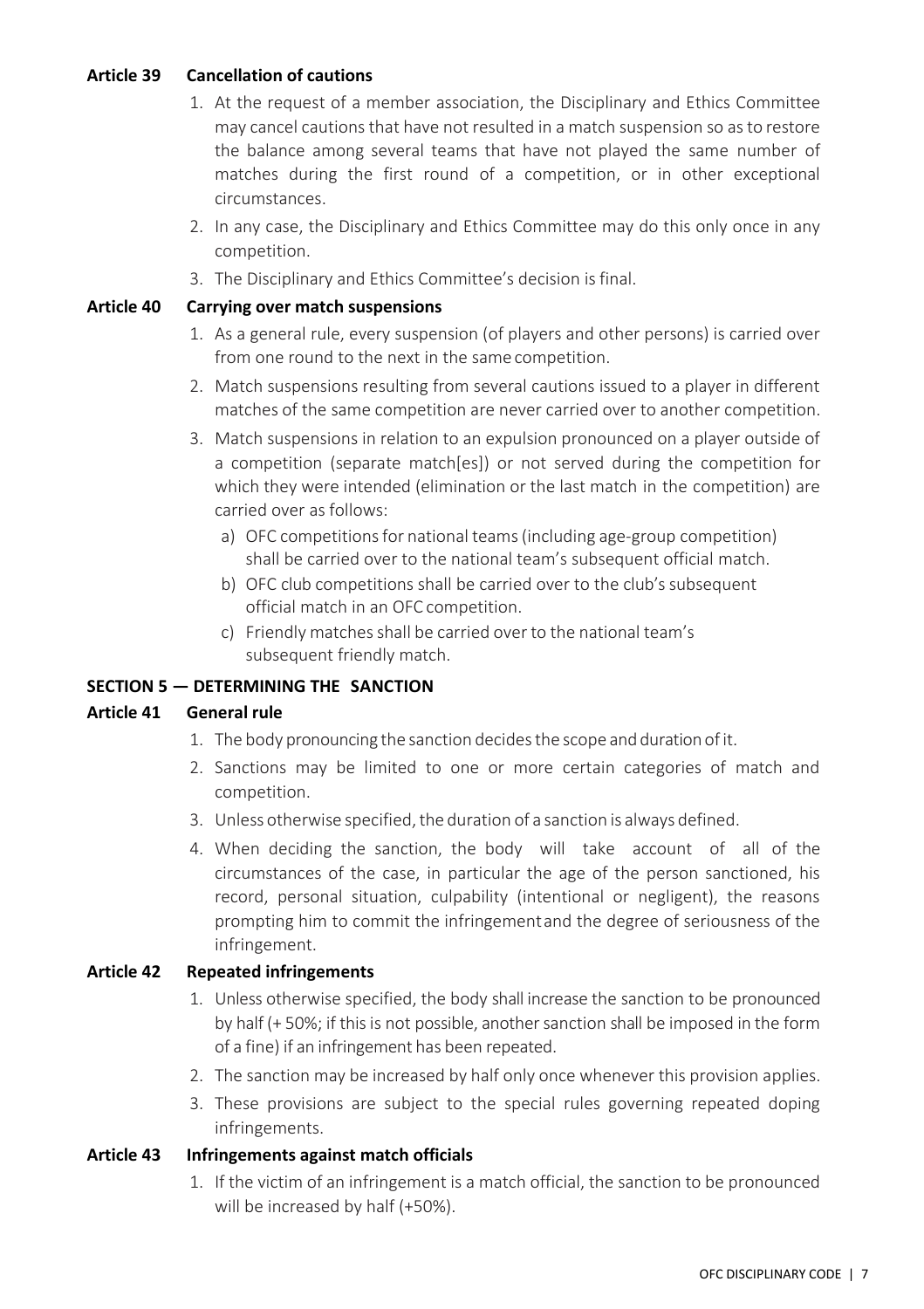#### <span id="page-13-0"></span>**Article 39 Cancellation of cautions**

- 1. At the request of a member association, the Disciplinary and Ethics Committee may cancel cautions that have not resulted in a match suspension so asto restore the balance among several teams that have not played the same number of matches during the first round of a competition, or in other exceptional circumstances.
- 2. In any case, the Disciplinary and Ethics Committee may do this only once in any competition.
- 3. The Disciplinary and Ethics Committee's decision is final.

#### <span id="page-13-1"></span>**Article 40 Carrying over match suspensions**

- 1. As a general rule, every suspension (of players and other persons) is carried over from one round to the next in the same competition.
- 2. Match suspensions resulting from several cautions issued to a player in different matches of the same competition are never carried over to another competition.
- 3. Match suspensions in relation to an expulsion pronounced on a player outside of a competition (separate match[es]) or not served during the competition for which they were intended (elimination or the last match in the competition) are carried over as follows:
	- a) OFC competitions for national teams (including age-group competition) shall be carried over to the national team's subsequent official match.
	- b) OFC club competitions shall be carried over to the club's subsequent official match in an OFC competition.
	- c) Friendly matches shall be carried over to the national team's subsequent friendly match.

#### <span id="page-13-2"></span>**SECTION 5 — DETERMINING THE SANCTION**

#### <span id="page-13-3"></span>**Article 41 General rule**

- 1. The body pronouncing the sanction decides the scope and duration of it.
- 2. Sanctions may be limited to one or more certain categories of match and competition.
- 3. Unless otherwise specified, the duration of a sanction is always defined.
- 4. When deciding the sanction, the body will take account of all of the circumstances of the case, in particular the age of the person sanctioned, his record, personal situation, culpability (intentional or negligent), the reasons prompting him to commit the infringementand the degree of seriousness of the infringement.

#### <span id="page-13-4"></span>**Article 42 Repeated infringements**

- 1. Unless otherwise specified, the body shall increase the sanction to be pronounced by half (+ 50%; if this is not possible, another sanction shall be imposed in the form of a fine) if an infringement has been repeated.
- 2. The sanction may be increased by half only once whenever this provision applies.
- 3. These provisions are subject to the special rules governing repeated doping infringements.

#### <span id="page-13-5"></span>**Article 43 Infringements against match officials**

1. If the victim of an infringement is a match official, the sanction to be pronounced will be increased by half (+50%).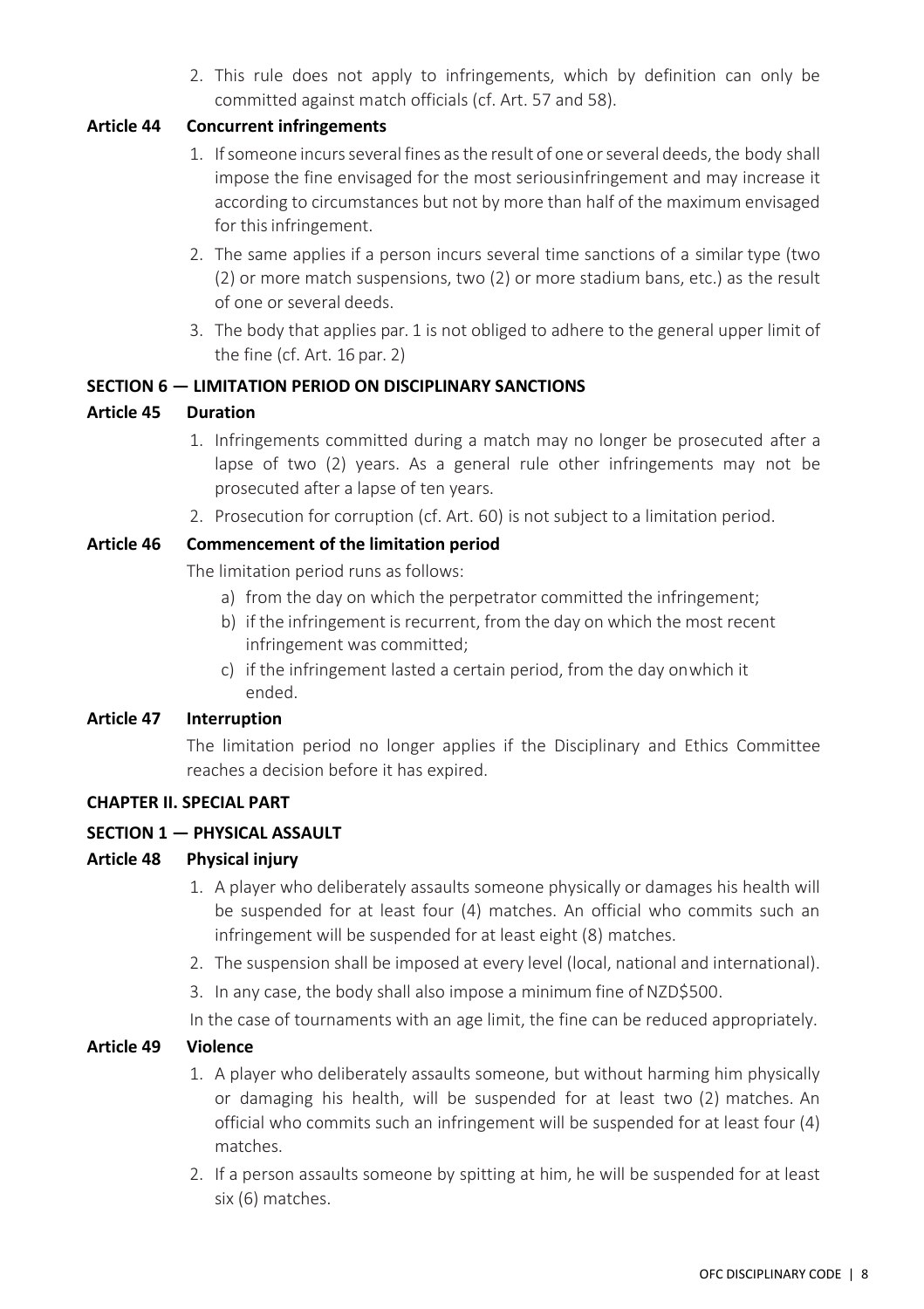2. This rule does not apply to infringements, which by definition can only be committed against match officials (cf. Art. 57 and 58).

#### <span id="page-14-0"></span>**Article 44 Concurrent infringements**

- 1. If someone incurs several fines as the result of one or several deeds, the body shall impose the fine envisaged for the most seriousinfringement and may increase it according to circumstances but not by more than half of the maximum envisaged for this infringement.
- 2. The same applies if a person incurs several time sanctions of a similar type (two (2) or more match suspensions, two (2) or more stadium bans, etc.) as the result of one or several deeds.
- 3. The body that applies par. 1 is not obliged to adhere to the general upper limit of the fine (cf. Art. 16 par. 2)

#### <span id="page-14-1"></span>**SECTION 6 — LIMITATION PERIOD ON DISCIPLINARY SANCTIONS**

#### <span id="page-14-2"></span>**Article 45 Duration**

- 1. Infringements committed during a match may no longer be prosecuted after a lapse of two (2) years. As a general rule other infringements may not be prosecuted after a lapse of ten years.
- 2. Prosecution for corruption (cf. Art. 60) is not subject to a limitation period.

#### <span id="page-14-3"></span>**Article 46 Commencement of the limitation period**

The limitation period runs as follows:

- a) from the day on which the perpetrator committed the infringement;
- b) if the infringement is recurrent, from the day on which the most recent infringement was committed;
- c) if the infringement lasted a certain period, from the day onwhich it ended.

#### <span id="page-14-4"></span>**Article 47 Interruption**

The limitation period no longer applies if the Disciplinary and Ethics Committee reaches a decision before it has expired.

#### <span id="page-14-5"></span>**CHAPTER II. SPECIAL PART**

#### <span id="page-14-6"></span>**SECTION 1 — PHYSICAL ASSAULT**

#### <span id="page-14-7"></span>**Article 48 Physical injury**

- 1. A player who deliberately assaults someone physically or damages his health will be suspended for at least four (4) matches. An official who commits such an infringement will be suspended for at least eight (8) matches.
- 2. The suspension shall be imposed at every level (local, national and international).
- 3. In any case, the body shall also impose a minimum fine of NZD\$500.

In the case of tournaments with an age limit, the fine can be reduced appropriately.

#### <span id="page-14-8"></span>**Article 49 Violence**

- 1. A player who deliberately assaults someone, but without harming him physically or damaging his health, will be suspended for at least two (2) matches. An official who commits such an infringement will be suspended for at least four (4) matches.
- 2. If a person assaults someone by spitting at him, he will be suspended for at least six (6) matches.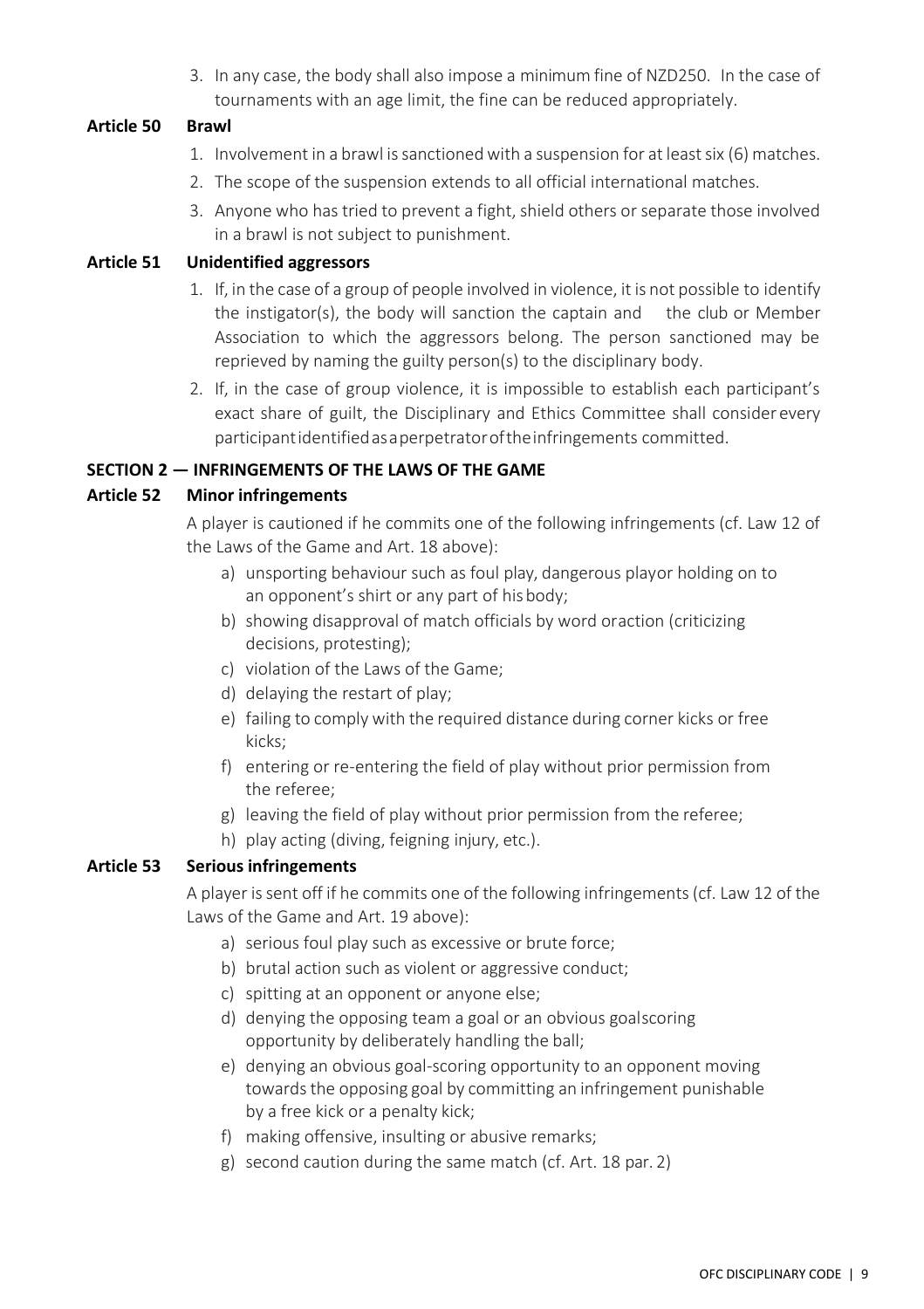3. In any case, the body shall also impose a minimum fine of NZD250. In the case of tournaments with an age limit, the fine can be reduced appropriately.

#### <span id="page-15-0"></span>**Article 50 Brawl**

- 1. Involvement in a brawl is sanctioned with a suspension for at least six (6) matches.
- 2. The scope of the suspension extends to all official international matches.
- 3. Anyone who has tried to prevent a fight, shield others or separate those involved in a brawl is not subject to punishment.

#### <span id="page-15-1"></span>**Article 51 Unidentified aggressors**

- 1. If, in the case of a group of people involved in violence, it is not possible to identify the instigator(s), the body will sanction the captain and the club or Member Association to which the aggressors belong. The person sanctioned may be reprieved by naming the guilty person(s) to the disciplinary body.
- 2. If, in the case of group violence, it is impossible to establish each participant's exact share of guilt, the Disciplinary and Ethics Committee shall consider every participantidentifiedasaperpetratoroftheinfringements committed.

#### <span id="page-15-2"></span>**SECTION 2 — INFRINGEMENTS OF THE LAWS OF THE GAME**

#### <span id="page-15-3"></span>**Article 52 Minor infringements**

A player is cautioned if he commits one of the following infringements (cf. Law 12 of the Laws of the Game and Art. 18 above):

- a) unsporting behaviour such as foul play, dangerous playor holding on to an opponent's shirt or any part of hisbody;
- b) showing disapproval of match officials by word oraction (criticizing decisions, protesting);
- c) violation of the Laws of the Game;
- d) delaying the restart of play;
- e) failing to comply with the required distance during corner kicks or free kicks;
- f) entering or re-entering the field of play without prior permission from the referee;
- g) leaving the field of play without prior permission from the referee;
- h) play acting (diving, feigning injury, etc.).

#### <span id="page-15-4"></span>**Article 53 Serious infringements**

A player is sent off if he commits one of the following infringements (cf. Law 12 of the Laws of the Game and Art. 19 above):

- a) serious foul play such as excessive or brute force;
- b) brutal action such as violent or aggressive conduct;
- c) spitting at an opponent or anyone else;
- d) denying the opposing team a goal or an obvious goalscoring opportunity by deliberately handling the ball;
- e) denying an obvious goal-scoring opportunity to an opponent moving towards the opposing goal by committing an infringement punishable by a free kick or a penalty kick;
- f) making offensive, insulting or abusive remarks;
- g) second caution during the same match (cf. Art. 18 par. 2)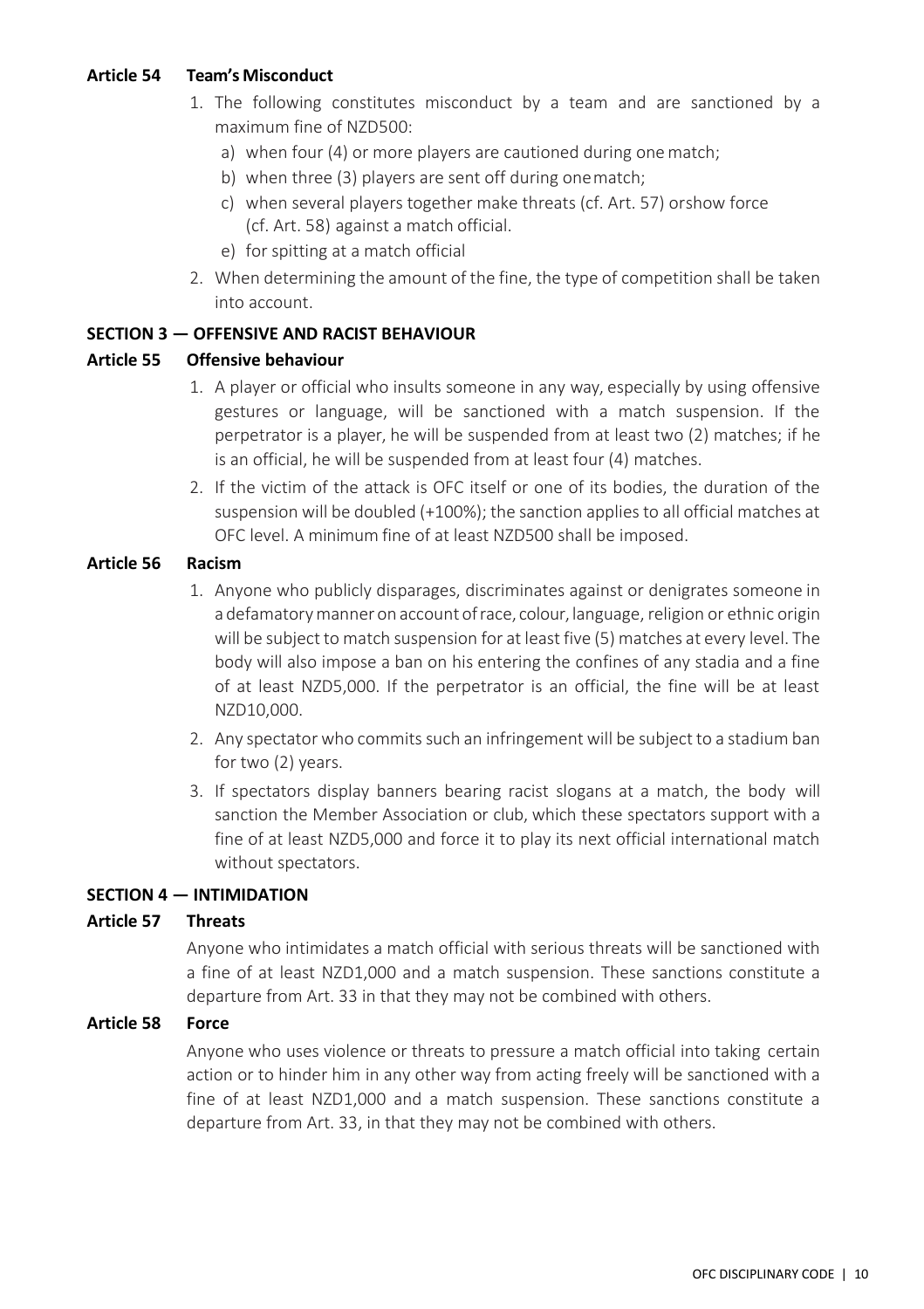#### <span id="page-16-0"></span>**Article 54 Team's Misconduct**

- 1. The following constitutes misconduct by a team and are sanctioned by a maximum fine of NZD500:
	- a) when four (4) or more players are cautioned during onematch;
	- b) when three (3) players are sent off during onematch;
	- c) when several players together make threats (cf. Art. 57) orshow force (cf. Art. 58) against a match official.
	- e) for spitting at a match official
- 2. When determining the amount of the fine, the type of competition shall be taken into account.

#### <span id="page-16-1"></span>**SECTION 3 — OFFENSIVE AND RACIST BEHAVIOUR**

#### <span id="page-16-2"></span>**Article 55 Offensive behaviour**

- 1. A player or official who insults someone in any way, especially by using offensive gestures or language, will be sanctioned with a match suspension. If the perpetrator is a player, he will be suspended from at least two (2) matches; if he is an official, he will be suspended from at least four (4) matches.
- 2. If the victim of the attack is OFC itself or one of its bodies, the duration of the suspension will be doubled (+100%); the sanction applies to all official matches at OFC level. A minimum fine of at least NZD500 shall be imposed.

#### <span id="page-16-3"></span>**Article 56 Racism**

- 1. Anyone who publicly disparages, discriminates against or denigrates someone in a defamatory manner on account of race, colour, language, religion or ethnic origin will be subject to match suspension for at least five (5) matches at every level. The body will also impose a ban on his entering the confines of any stadia and a fine of at least NZD5,000. If the perpetrator is an official, the fine will be at least NZD10,000.
- 2. Any spectator who commits such an infringement will be subject to a stadium ban for two (2) years.
- 3. If spectators display banners bearing racist slogans at a match, the body will sanction the Member Association or club, which these spectators support with a fine of at least NZD5,000 and force it to play its next official international match without spectators.

#### <span id="page-16-4"></span>**SECTION 4 — INTIMIDATION**

#### <span id="page-16-5"></span>**Article 57 Threats**

Anyone who intimidates a match official with serious threats will be sanctioned with a fine of at least NZD1,000 and a match suspension. These sanctions constitute a departure from Art. 33 in that they may not be combined with others.

#### <span id="page-16-6"></span>**Article 58 Force**

Anyone who uses violence or threats to pressure a match official into taking certain action or to hinder him in any other way from acting freely will be sanctioned with a fine of at least NZD1,000 and a match suspension. These sanctions constitute a departure from Art. 33, in that they may not be combined with others.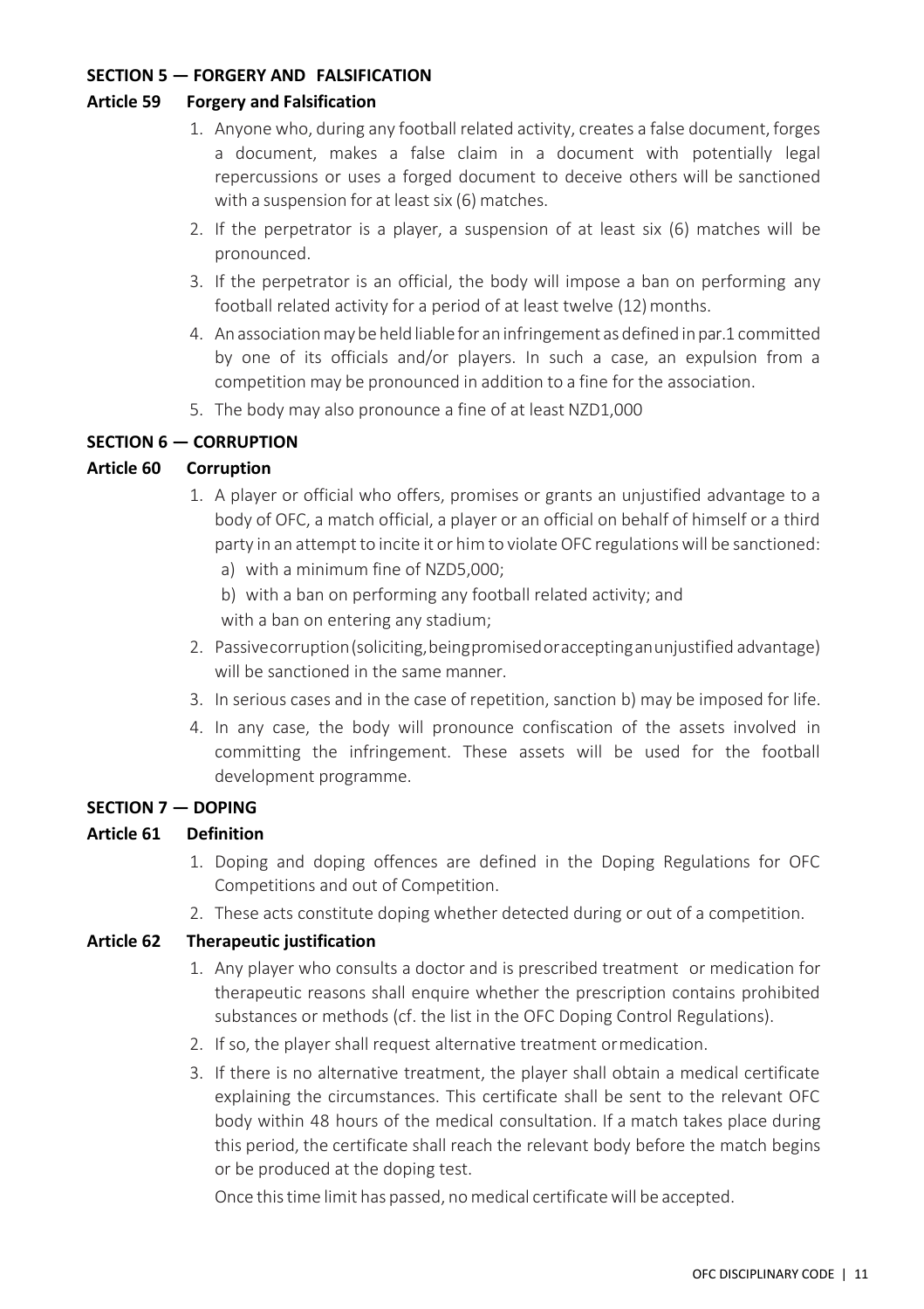#### <span id="page-17-0"></span>**SECTION 5 — FORGERY AND FALSIFICATION**

#### <span id="page-17-1"></span>**Article 59 Forgery and Falsification**

- 1. Anyone who, during any football related activity, creates a false document, forges a document, makes a false claim in a document with potentially legal repercussions or uses a forged document to deceive others will be sanctioned with a suspension for at least six (6) matches.
- 2. If the perpetrator is a player, a suspension of at least six (6) matches will be pronounced.
- 3. If the perpetrator is an official, the body will impose a ban on performing any football related activity for a period of at least twelve (12)months.
- 4. An association may be held liable for an infringement as defined in par.1 committed by one of its officials and/or players. In such a case, an expulsion from a competition may be pronounced in addition to a fine for the association.
- 5. The body may also pronounce a fine of at least NZD1,000

#### <span id="page-17-2"></span>**SECTION 6 — CORRUPTION**

#### <span id="page-17-3"></span>**Article 60 Corruption**

- 1. A player or official who offers, promises or grants an unjustified advantage to a body of OFC, a match official, a player or an official on behalf of himself or a third party in an attempt to incite it or him to violate OFC regulations will be sanctioned:
	- a) with a minimum fine of NZD5,000;
	- b) with a ban on performing any football related activity; and with a ban on entering any stadium;
- 2. Passivecorruption(soliciting,beingpromisedoracceptinganunjustified advantage) will be sanctioned in the same manner.
- 3. In serious cases and in the case of repetition, sanction b) may be imposed for life.
- 4. In any case, the body will pronounce confiscation of the assets involved in committing the infringement. These assets will be used for the football development programme.

#### <span id="page-17-4"></span>**SECTION 7 — DOPING**

#### <span id="page-17-5"></span>**Article 61 Definition**

- 1. Doping and doping offences are defined in the Doping Regulations for OFC Competitions and out of Competition.
- 2. These acts constitute doping whether detected during or out of a competition.

#### <span id="page-17-6"></span>**Article 62 Therapeutic justification**

- 1. Any player who consults a doctor and is prescribed treatment or medication for therapeutic reasons shall enquire whether the prescription contains prohibited substances or methods (cf. the list in the OFC Doping Control Regulations).
- 2. If so, the player shall request alternative treatment ormedication.
- 3. If there is no alternative treatment, the player shall obtain a medical certificate explaining the circumstances. This certificate shall be sent to the relevant OFC body within 48 hours of the medical consultation. If a match takes place during this period, the certificate shall reach the relevant body before the match begins or be produced at the doping test.

Once this time limit has passed, no medical certificate will be accepted.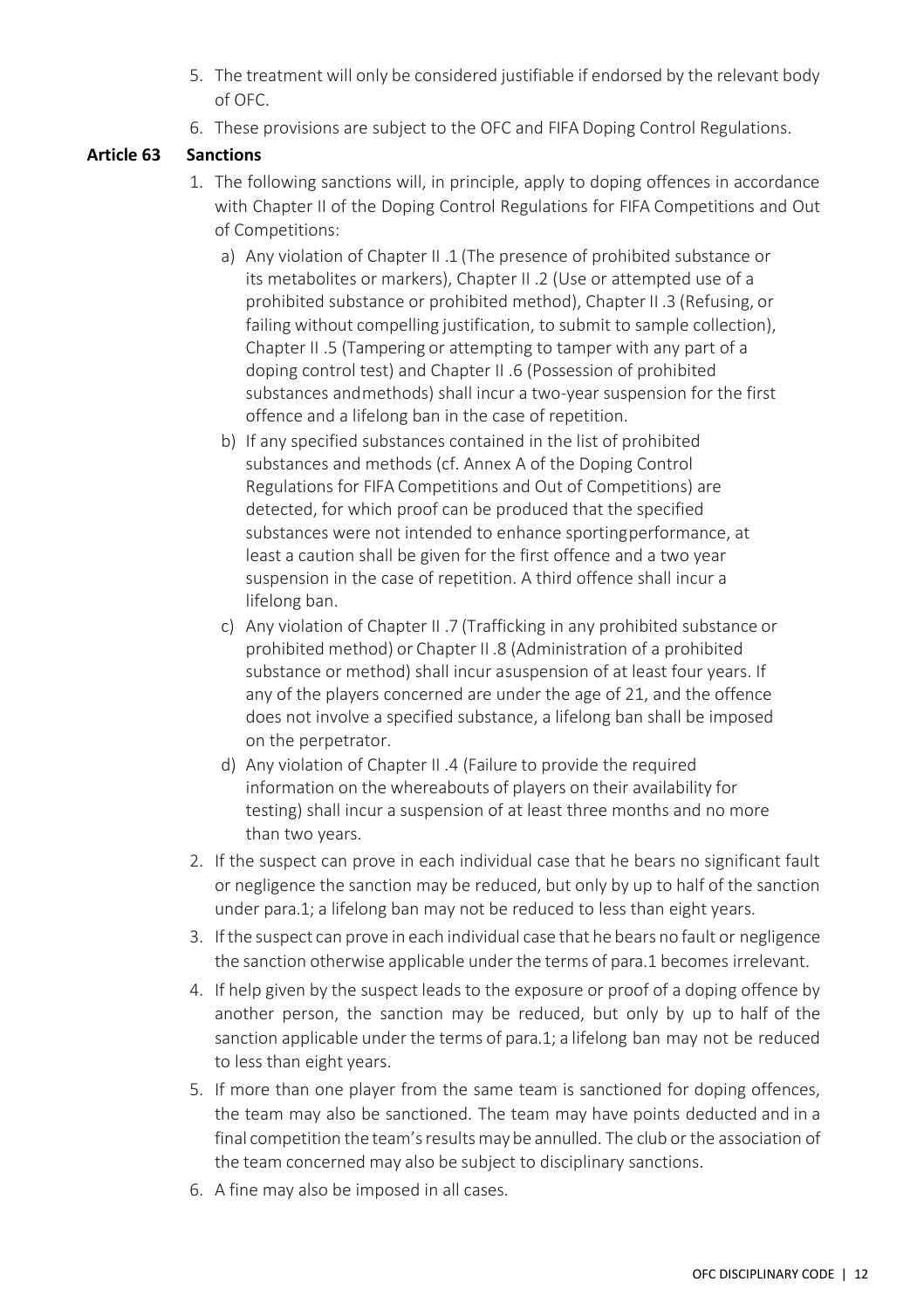- 5. The treatment will only be considered justifiable if endorsed by the relevant body of OFC.
- 6. These provisions are subject to the OFC and FIFA Doping Control Regulations.

#### <span id="page-18-0"></span>**Article 63 Sanctions**

- 1. The following sanctions will, in principle, apply to doping offences in accordance with Chapter II of the Doping Control Regulations for FIFA Competitions and Out of Competitions:
	- a) Any violation of Chapter II .1 (The presence of prohibited substance or its metabolites or markers), Chapter II .2 (Use or attempted use of a prohibited substance or prohibited method), Chapter II .3 (Refusing, or failing without compelling justification, to submit to sample collection). Chapter II .5 (Tampering or attempting to tamper with any part of a doping control test) and Chapter II .6 (Possession of prohibited substances andmethods) shall incur a two-year suspension for the first offence and a lifelong ban in the case of repetition.
	- b) If any specified substances contained in the list of prohibited substances and methods (cf. Annex A of the Doping Control Regulations for FIFA Competitions and Out of Competitions) are detected, for which proof can be produced that the specified substances were not intended to enhance sportingperformance, at least a caution shall be given for the first offence and a two year suspension in the case of repetition. A third offence shall incur a lifelong ban.
	- c) Any violation of Chapter II .7 (Trafficking in any prohibited substance or prohibited method) or Chapter II .8 (Administration of a prohibited substance or method) shall incur asuspension of at least four years. If any of the players concerned are under the age of 21, and the offence does not involve a specified substance, a lifelong ban shall be imposed on the perpetrator.
	- d) Any violation of Chapter II .4 (Failure to provide the required information on the whereabouts of players on their availability for testing) shall incur a suspension of at least three months and no more than two years.
- 2. If the suspect can prove in each individual case that he bears no significant fault or negligence the sanction may be reduced, but only by up to half of the sanction under para.1; a lifelong ban may not be reduced to less than eight years.
- 3. Ifthe suspect can prove in each individual case that he bears no fault or negligence the sanction otherwise applicable under the terms of para.1 becomes irrelevant.
- 4. If help given by the suspect leads to the exposure or proof of a doping offence by another person, the sanction may be reduced, but only by up to half of the sanction applicable under the terms of para.1; a lifelong ban may not be reduced to less than eight years.
- 5. If more than one player from the same team is sanctioned for doping offences, the team may also be sanctioned. The team may have points deducted and in a final competition the team'sresultsmay be annulled. The club or the association of the team concerned may also be subject to disciplinary sanctions.
- 6. A fine may also be imposed in all cases.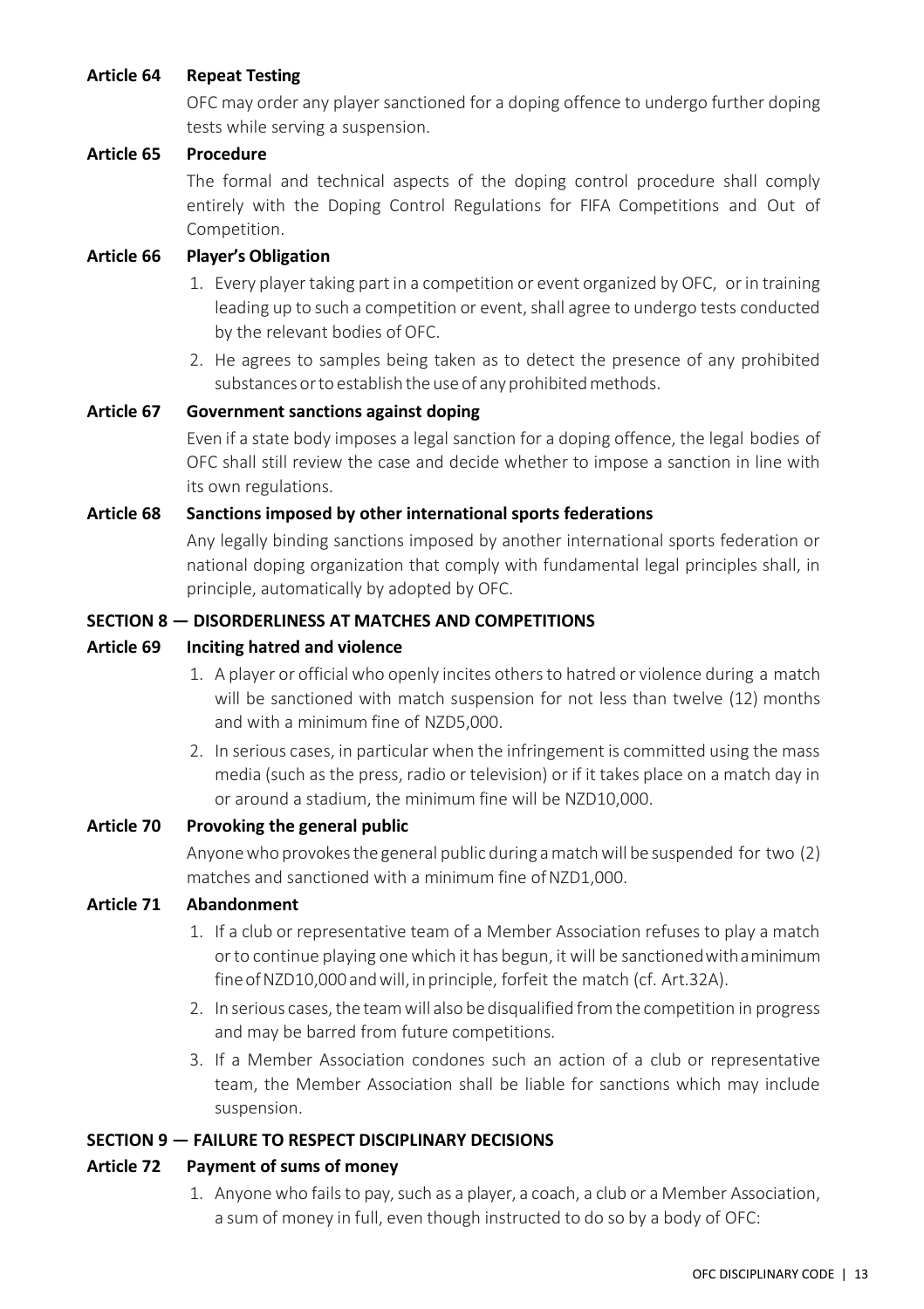#### <span id="page-19-0"></span>**Article 64 Repeat Testing**

OFC may order any player sanctioned for a doping offence to undergo further doping tests while serving a suspension.

#### <span id="page-19-1"></span>**Article 65 Procedure**

The formal and technical aspects of the doping control procedure shall comply entirely with the Doping Control Regulations for FIFA Competitions and Out of Competition.

#### <span id="page-19-2"></span>**Article 66 Player's Obligation**

- 1. Every player taking part in a competition or event organized by OFC, or in training leading up to such a competition or event, shall agree to undergo tests conducted by the relevant bodies of OFC.
- 2. He agrees to samples being taken as to detect the presence of any prohibited substances or to establish the use of any prohibited methods.

#### <span id="page-19-3"></span>**Article 67 Government sanctions against doping**

Even if a state body imposes a legal sanction for a doping offence, the legal bodies of OFC shall still review the case and decide whether to impose a sanction in line with its own regulations.

#### <span id="page-19-4"></span>**Article 68 Sanctions imposed by other international sports federations**

Any legally binding sanctions imposed by another international sports federation or national doping organization that comply with fundamental legal principles shall, in principle, automatically by adopted by OFC.

#### <span id="page-19-5"></span>**SECTION 8 — DISORDERLINESS AT MATCHES AND COMPETITIONS**

#### <span id="page-19-6"></span>**Article 69 Inciting hatred and violence**

- 1. A player or official who openly incites othersto hatred or violence during a match will be sanctioned with match suspension for not less than twelve (12) months and with a minimum fine of NZD5,000.
- 2. In serious cases, in particular when the infringement is committed using the mass media (such as the press, radio or television) or if it takes place on a match day in or around a stadium, the minimum fine will be NZD10,000.

#### <span id="page-19-7"></span>**Article 70 Provoking the general public**

Anyone who provokes the general public during a match will be suspended for two (2) matches and sanctioned with a minimum fine of NZD1,000.

#### <span id="page-19-8"></span>**Article 71 Abandonment**

- 1. If a club or representative team of a Member Association refuses to play a match or to continue playing one which it has begun, it will be sanctionedwithaminimum fine of NZD10,000 and will, in principle, forfeit the match (cf. Art.32A).
- 2. In serious cases, the team will also be disqualified from the competition in progress and may be barred from future competitions.
- 3. If a Member Association condones such an action of a club or representative team, the Member Association shall be liable for sanctions which may include suspension.

#### <span id="page-19-9"></span>**SECTION 9 — FAILURE TO RESPECT DISCIPLINARY DECISIONS**

#### <span id="page-19-10"></span>**Article 72 Payment of sums of money**

1. Anyone who fails to pay, such as a player, a coach, a club or a Member Association, a sum of money in full, even though instructed to do so by a body of OFC: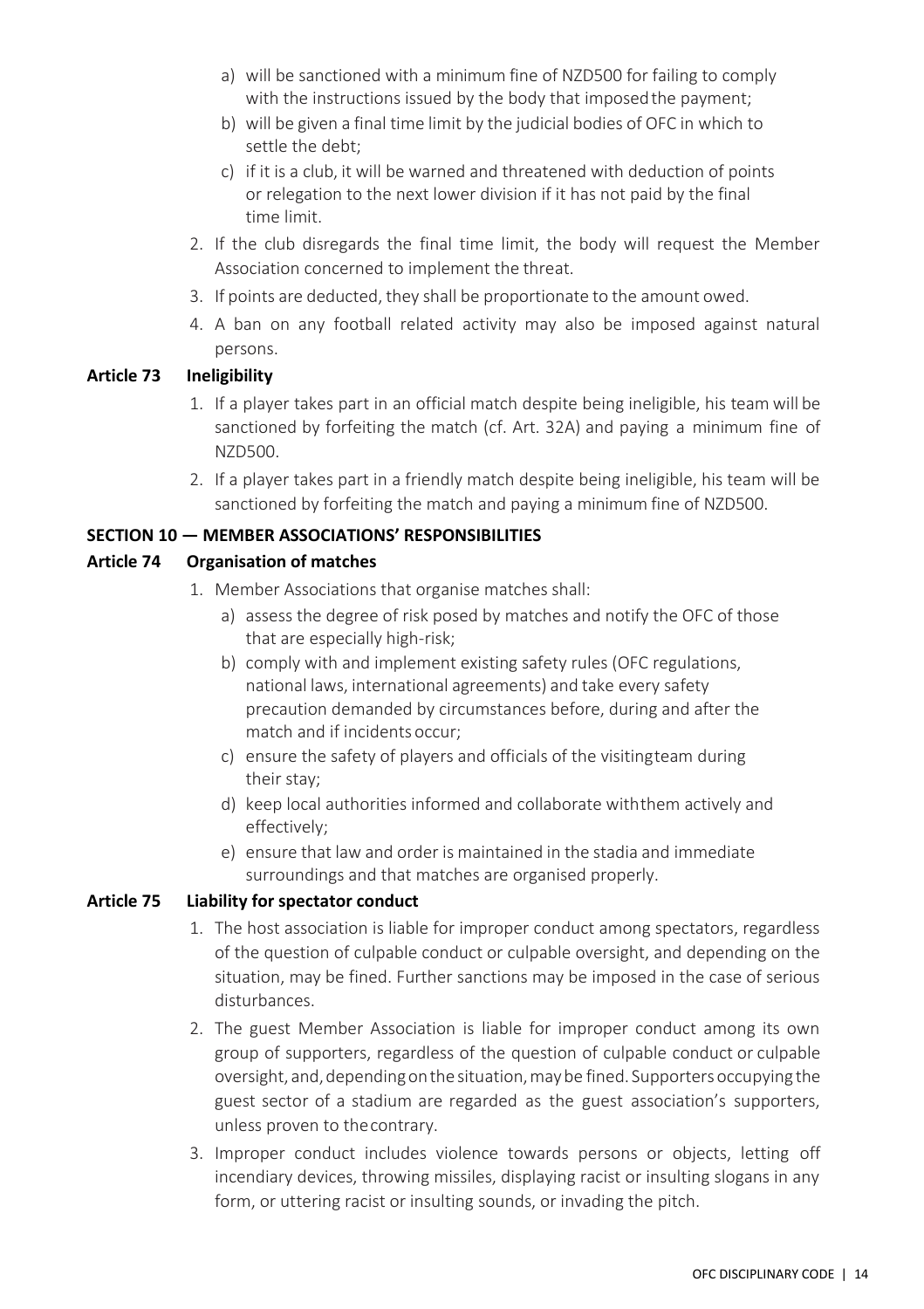- a) will be sanctioned with a minimum fine of NZD500 for failing to comply with the instructions issued by the body that imposed the payment;
- b) will be given a final time limit by the judicial bodies of OFC in which to settle the debt;
- c) if it is a club, it will be warned and threatened with deduction of points or relegation to the next lower division if it has not paid by the final time limit.
- 2. If the club disregards the final time limit, the body will request the Member Association concerned to implement the threat.
- 3. If points are deducted, they shall be proportionate to the amount owed.
- 4. A ban on any football related activity may also be imposed against natural persons.

#### <span id="page-20-0"></span>**Article 73 Ineligibility**

- 1. If a player takes part in an official match despite being ineligible, his team will be sanctioned by forfeiting the match (cf. Art. 32A) and paying a minimum fine of NZD500.
- 2. If a player takes part in a friendly match despite being ineligible, his team will be sanctioned by forfeiting the match and paying a minimum fine of NZD500.

#### <span id="page-20-1"></span>**SECTION 10 — MEMBER ASSOCIATIONS' RESPONSIBILITIES**

#### <span id="page-20-2"></span>**Article 74 Organisation of matches**

- 1. Member Associations that organise matches shall:
	- a) assess the degree of risk posed by matches and notify the OFC of those that are especially high-risk;
	- b) comply with and implement existing safety rules (OFC regulations, national laws, international agreements) and take every safety precaution demanded by circumstances before, during and after the match and if incidents occur;
	- c) ensure the safety of players and officials of the visitingteam during their stay;
	- d) keep local authorities informed and collaborate withthem actively and effectively;
	- e) ensure that law and order is maintained in the stadia and immediate surroundings and that matches are organised properly.

#### <span id="page-20-3"></span>**Article 75 Liability for spectator conduct**

- 1. The host association is liable for improper conduct among spectators, regardless of the question of culpable conduct or culpable oversight, and depending on the situation, may be fined. Further sanctions may be imposed in the case of serious disturbances.
- 2. The guest Member Association is liable for improper conduct among its own group of supporters, regardless of the question of culpable conduct or culpable oversight, and, depending on the situation, may be fined. Supporters occupying the guest sector of a stadium are regarded as the guest association's supporters, unless proven to thecontrary.
- 3. Improper conduct includes violence towards persons or objects, letting off incendiary devices, throwing missiles, displaying racist or insulting slogans in any form, or uttering racist or insulting sounds, or invading the pitch.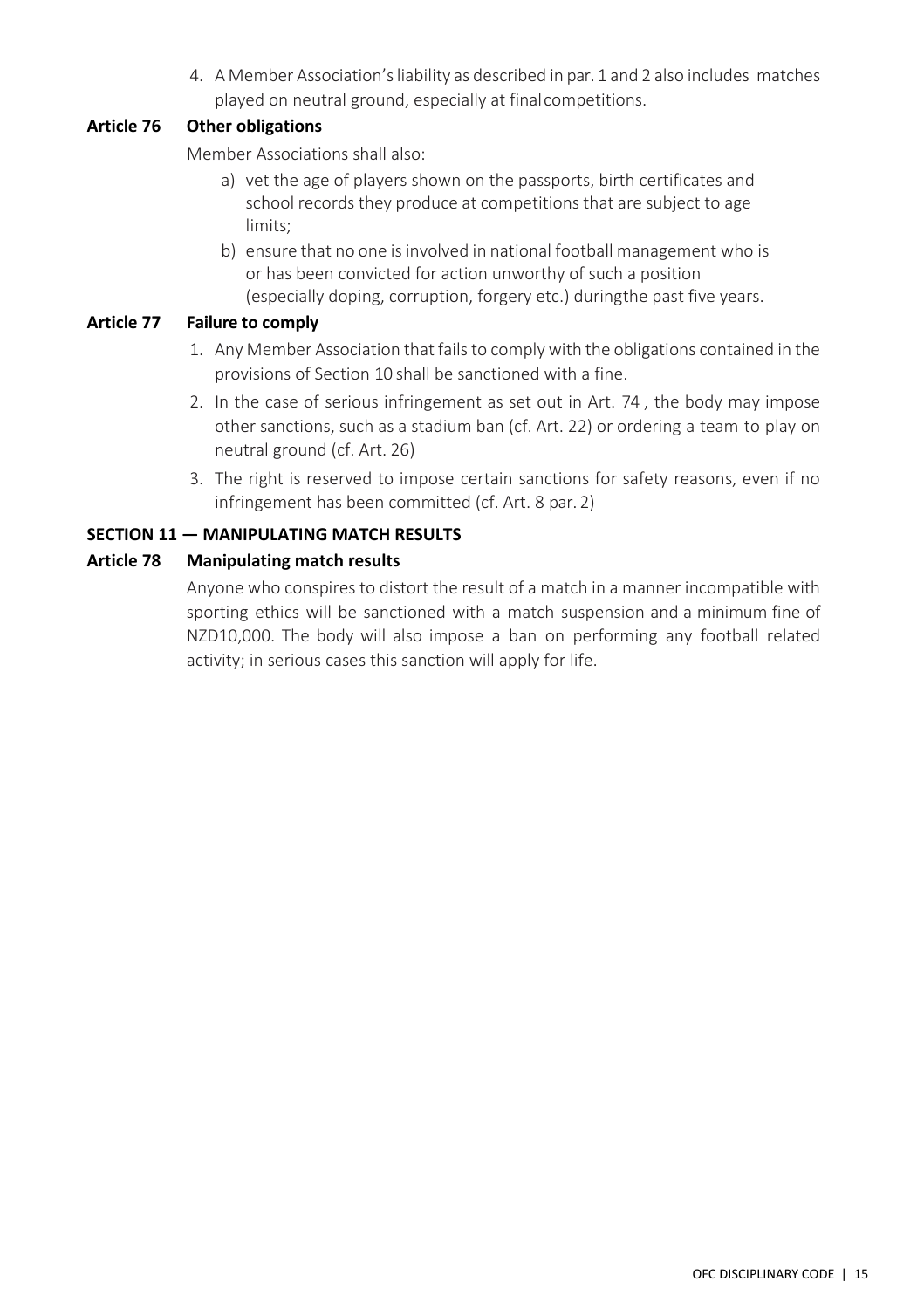4. A Member Association'sliability as described in par. 1 and 2 also includes matches played on neutral ground, especially at finalcompetitions.

#### <span id="page-21-0"></span>**Article 76 Other obligations**

Member Associations shall also:

- a) vet the age of players shown on the passports, birth certificates and school records they produce at competitions that are subject to age limits;
- b) ensure that no one isinvolved in national football management who is or has been convicted for action unworthy of such a position (especially doping, corruption, forgery etc.) duringthe past five years.

#### <span id="page-21-1"></span>**Article 77 Failure to comply**

- 1. Any Member Association that fails to comply with the obligations contained in the provisions of Section 10 shall be sanctioned with a fine.
- 2. In the case of serious infringement as set out in Art. 74 , the body may impose other sanctions, such as a stadium ban (cf. Art. 22) or ordering a team to play on neutral ground (cf. Art. 26)
- 3. The right is reserved to impose certain sanctions for safety reasons, even if no infringement has been committed (cf. Art. 8 par. 2)

#### <span id="page-21-2"></span>**SECTION 11 — MANIPULATING MATCH RESULTS**

#### <span id="page-21-3"></span>**Article 78 Manipulating match results**

Anyone who conspires to distort the result of a match in a manner incompatible with sporting ethics will be sanctioned with a match suspension and a minimum fine of NZD10,000. The body will also impose a ban on performing any football related activity; in serious cases this sanction will apply for life.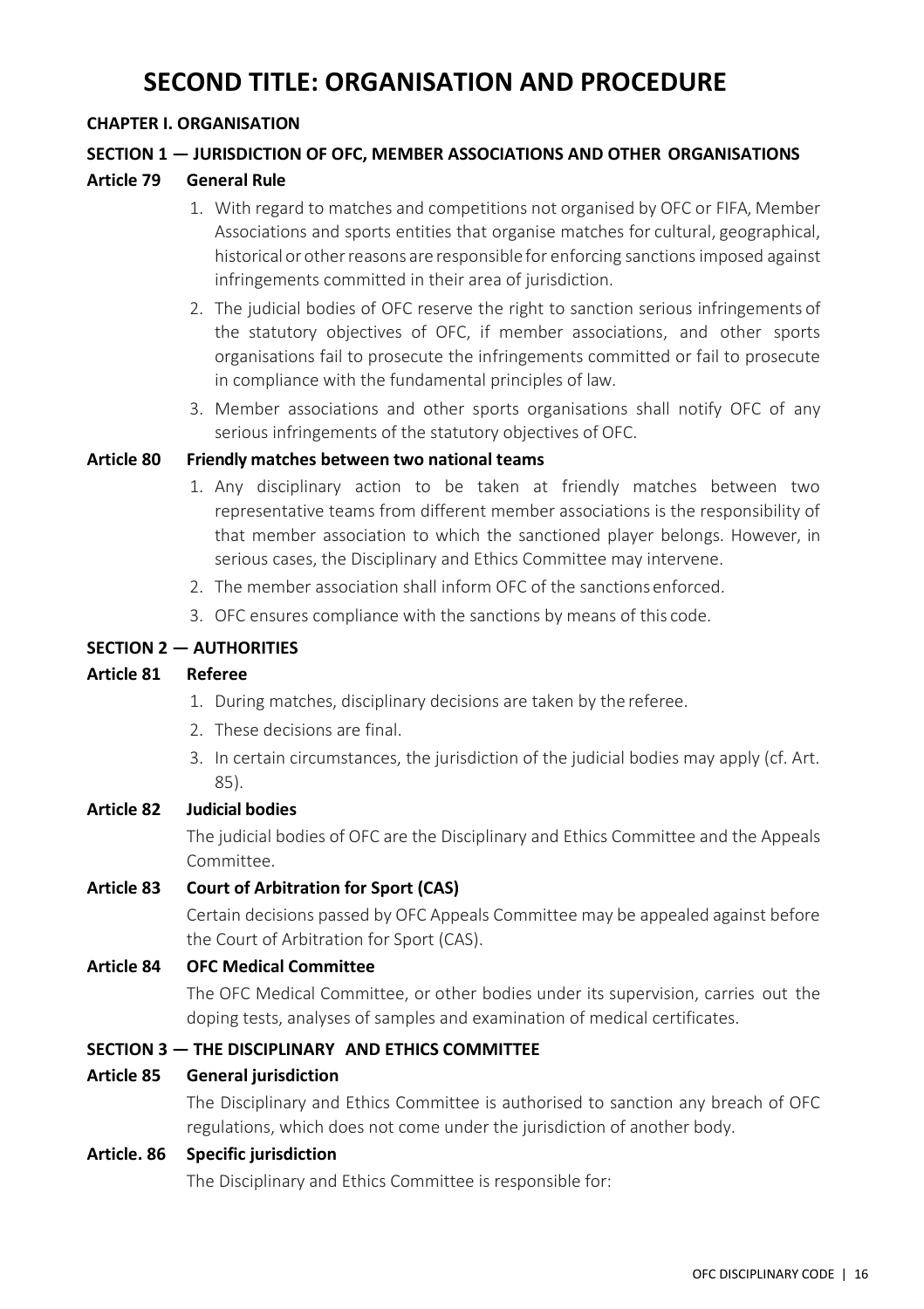## **SECOND TITLE: ORGANISATION AND PROCEDURE**

#### <span id="page-22-1"></span><span id="page-22-0"></span>**CHAPTER I. ORGANISATION**

#### <span id="page-22-2"></span>**SECTION 1 — JURISDICTION OF OFC, MEMBER ASSOCIATIONS AND OTHER ORGANISATIONS**

#### <span id="page-22-3"></span>**Article 79 General Rule**

- 1. With regard to matches and competitions not organised by OFC or FIFA, Member Associations and sports entities that organise matches for cultural, geographical, historical or otherreasons are responsible for enforcing sanctions imposed against infringements committed in their area of jurisdiction.
- 2. The judicial bodies of OFC reserve the right to sanction serious infringements of the statutory objectives of OFC, if member associations, and other sports organisations fail to prosecute the infringements committed or fail to prosecute in compliance with the fundamental principles of law.
- 3. Member associations and other sports organisations shall notify OFC of any serious infringements of the statutory objectives of OFC.

#### <span id="page-22-4"></span>**Article 80 Friendly matches between two national teams**

- 1. Any disciplinary action to be taken at friendly matches between two representative teams from different member associations is the responsibility of that member association to which the sanctioned player belongs. However, in serious cases, the Disciplinary and Ethics Committee may intervene.
- 2. The member association shall inform OFC of the sanctions enforced.
- 3. OFC ensures compliance with the sanctions by means of this code.

#### <span id="page-22-5"></span>**SECTION 2 — AUTHORITIES**

#### <span id="page-22-6"></span>**Article 81 Referee**

- 1. During matches, disciplinary decisions are taken by the referee.
- 2. These decisions are final.
- 3. In certain circumstances, the jurisdiction of the judicial bodies may apply (cf. Art. 85).

#### <span id="page-22-7"></span>**Article 82 Judicial bodies**

The judicial bodies of OFC are the Disciplinary and Ethics Committee and the Appeals Committee.

#### <span id="page-22-8"></span>**Article 83 Court of Arbitration for Sport (CAS)**

Certain decisions passed by OFC Appeals Committee may be appealed against before the Court of Arbitration for Sport (CAS).

#### <span id="page-22-9"></span>**Article 84 OFC Medical Committee**

The OFC Medical Committee, or other bodies under its supervision, carries out the doping tests, analyses of samples and examination of medical certificates.

#### <span id="page-22-10"></span>**SECTION 3 — THE DISCIPLINARY AND ETHICS COMMITTEE**

#### <span id="page-22-11"></span>**Article 85 General jurisdiction**

The Disciplinary and Ethics Committee is authorised to sanction any breach of OFC regulations, which does not come under the jurisdiction of another body.

#### <span id="page-22-12"></span>**Article. 86 Specific jurisdiction**

The Disciplinary and Ethics Committee is responsible for: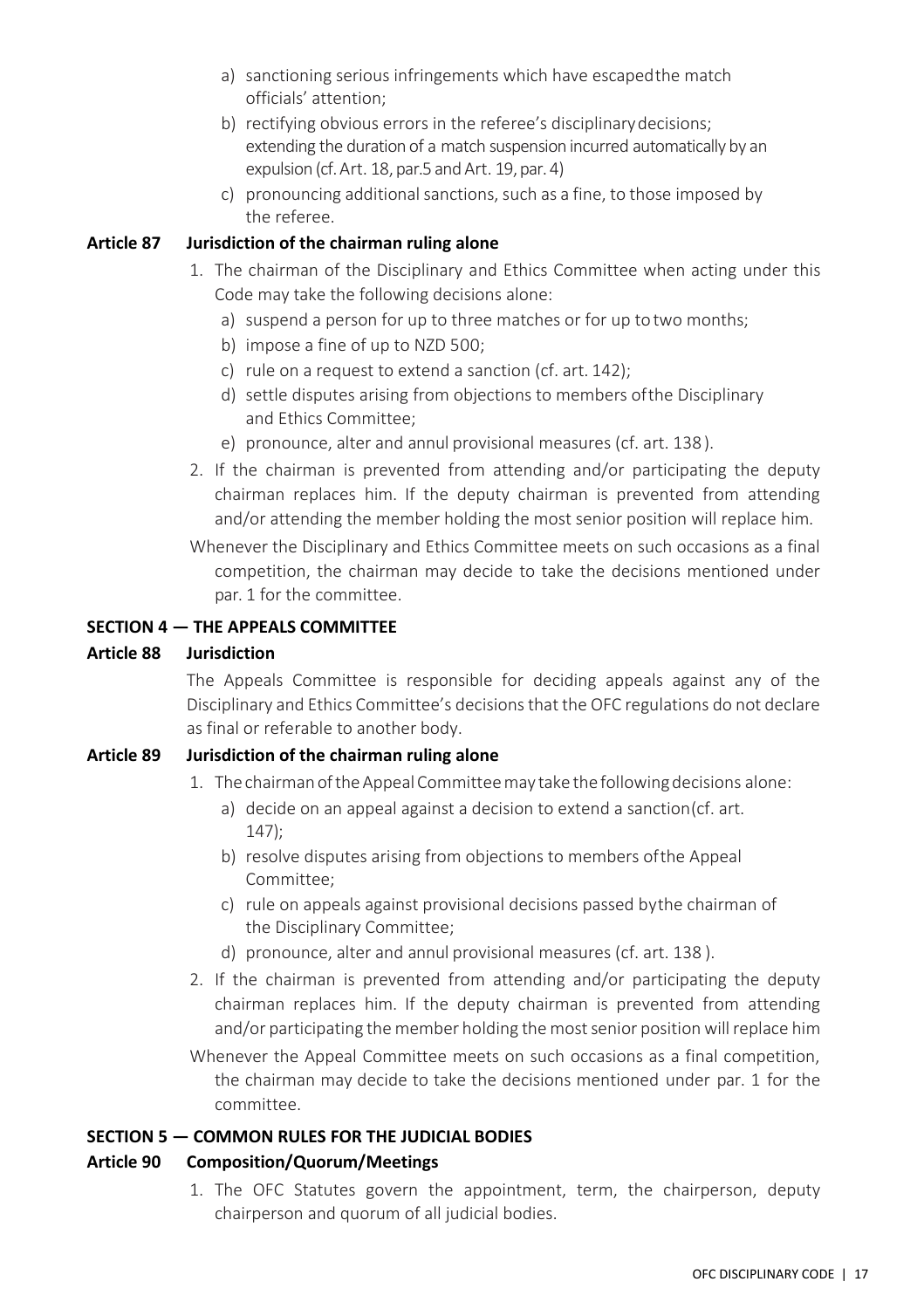- a) sanctioning serious infringements which have escapedthe match officials' attention;
- b) rectifying obvious errors in the referee's disciplinarydecisions; extending the duration of a match suspension incurred automatically by an expulsion (cf. Art. 18, par.5 and Art. 19, par. 4)
- c) pronouncing additional sanctions, such as a fine, to those imposed by the referee.

#### <span id="page-23-0"></span>**Article 87 Jurisdiction of the chairman ruling alone**

- 1. The chairman of the Disciplinary and Ethics Committee when acting under this Code may take the following decisions alone:
	- a) suspend a person for up to three matches or for up to two months;
	- b) impose a fine of up to NZD 500;
	- c) rule on a request to extend a sanction (cf. art. 142);
	- d) settle disputes arising from objections to members ofthe Disciplinary and Ethics Committee;
	- e) pronounce, alter and annul provisional measures (cf. art. 138).
- 2. If the chairman is prevented from attending and/or participating the deputy chairman replaces him. If the deputy chairman is prevented from attending and/or attending the member holding the most senior position will replace him.
- Whenever the Disciplinary and Ethics Committee meets on such occasions as a final competition, the chairman may decide to take the decisions mentioned under par. 1 for the committee.

#### <span id="page-23-1"></span>**SECTION 4 — THE APPEALS COMMITTEE**

#### <span id="page-23-2"></span>**Article 88 Jurisdiction**

The Appeals Committee is responsible for deciding appeals against any of the Disciplinary and Ethics Committee's decisions that the OFC regulations do not declare as final or referable to another body.

#### <span id="page-23-3"></span>**Article 89 Jurisdiction of the chairman ruling alone**

- 1. The chairman of the Appeal Committee may take the following decisions alone:
	- a) decide on an appeal against a decision to extend a sanction(cf. art. 147);
	- b) resolve disputes arising from objections to members ofthe Appeal Committee;
	- c) rule on appeals against provisional decisions passed bythe chairman of the Disciplinary Committee;
	- d) pronounce, alter and annul provisional measures (cf. art. 138 ).
- 2. If the chairman is prevented from attending and/or participating the deputy chairman replaces him. If the deputy chairman is prevented from attending and/or participating the member holding the most senior position will replace him
- Whenever the Appeal Committee meets on such occasions as a final competition, the chairman may decide to take the decisions mentioned under par. 1 for the committee.

#### <span id="page-23-4"></span>**SECTION 5 — COMMON RULES FOR THE JUDICIAL BODIES**

#### <span id="page-23-5"></span>**Article 90 Composition/Quorum/Meetings**

1. The OFC Statutes govern the appointment, term, the chairperson, deputy chairperson and quorum of all judicial bodies.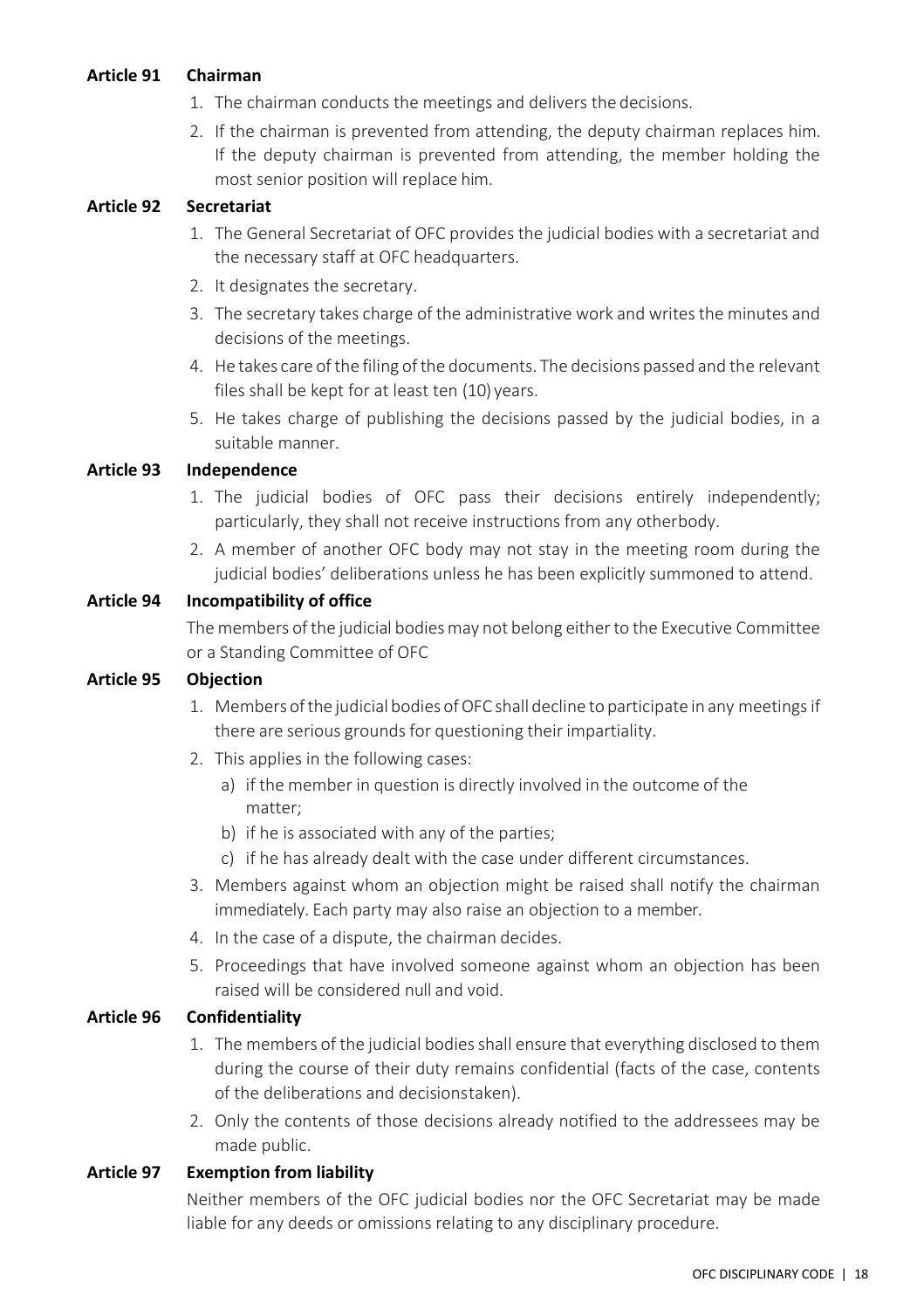#### <span id="page-24-0"></span>**Article 91 Chairman**

- 1. The chairman conducts the meetings and delivers the decisions.
- 2. If the chairman is prevented from attending, the deputy chairman replaces him. If the deputy chairman is prevented from attending, the member holding the most senior position will replace him.

#### <span id="page-24-1"></span>**Article 92 Secretariat**

- 1. The General Secretariat of OFC provides the judicial bodies with a secretariat and the necessary staff at OFC headquarters.
- 2. It designates the secretary.
- 3. The secretary takes charge of the administrative work and writes the minutes and decisions of the meetings.
- 4. He takes care of the filing ofthe documents. The decisions passed and the relevant files shall be kept for at least ten (10) years.
- 5. He takes charge of publishing the decisions passed by the judicial bodies, in a suitable manner.

#### <span id="page-24-2"></span>**Article 93 Independence**

- 1. The judicial bodies of OFC pass their decisions entirely independently; particularly, they shall not receive instructions from any otherbody.
- 2. A member of another OFC body may not stay in the meeting room during the judicial bodies' deliberations unless he has been explicitly summoned to attend.

#### <span id="page-24-3"></span>**Article 94 Incompatibility of office**

The members of the judicial bodiesmay not belong eitherto the Executive Committee or a Standing Committee of OFC

#### <span id="page-24-4"></span>**Article 95 Objection**

- 1. Members of the judicial bodies of OFC shall decline to participate in any meetings if there are serious grounds for questioning their impartiality.
- 2. This applies in the following cases:
	- a) if the member in question is directly involved in the outcome of the matter;
	- b) if he is associated with any of the parties;
	- c) if he has already dealt with the case under different circumstances.
- 3. Members against whom an objection might be raised shall notify the chairman immediately. Each party may also raise an objection to a member.
- 4. In the case of a dispute, the chairman decides.
- 5. Proceedings that have involved someone against whom an objection has been raised will be considered null and void.

#### <span id="page-24-5"></span>**Article 96 Confidentiality**

- 1. The members of the judicial bodies shall ensure that everything disclosed to them during the course of their duty remains confidential (facts of the case, contents of the deliberations and decisionstaken).
- 2. Only the contents of those decisions already notified to the addressees may be made public.

#### <span id="page-24-6"></span>**Article 97 Exemption from liability**

Neither members of the OFC judicial bodies nor the OFC Secretariat may be made liable for any deeds or omissions relating to any disciplinary procedure.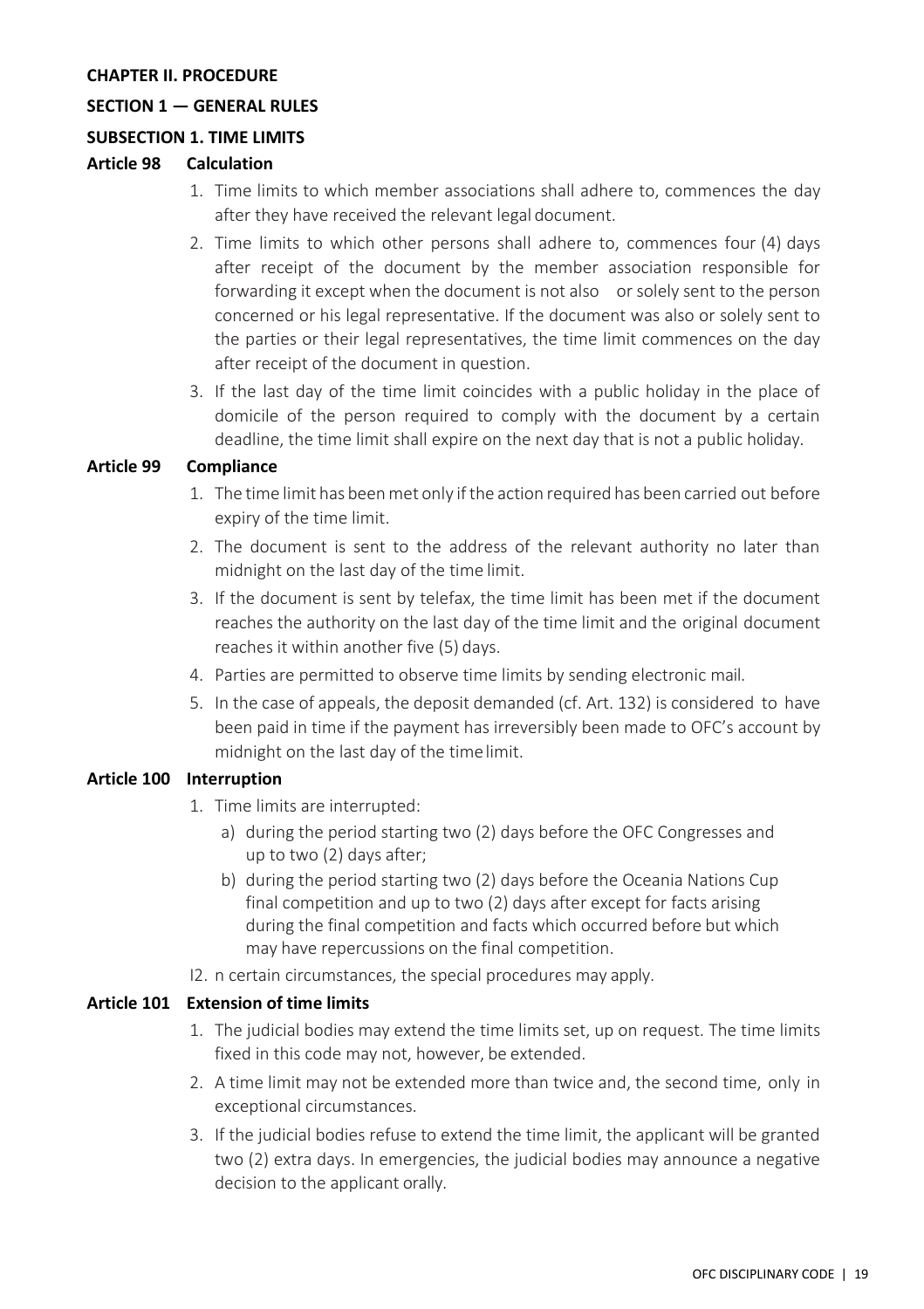#### <span id="page-25-0"></span>**CHAPTER II. PROCEDURE**

#### <span id="page-25-1"></span>**SECTION 1 — GENERAL RULES**

#### <span id="page-25-2"></span>**SUBSECTION 1. TIME LIMITS**

#### <span id="page-25-3"></span>**Article 98 Calculation**

- 1. Time limits to which member associations shall adhere to, commences the day after they have received the relevant legal document.
- 2. Time limits to which other persons shall adhere to, commences four (4) days after receipt of the document by the member association responsible for forwarding it except when the document is not also or solely sent to the person concerned or his legal representative. If the document was also or solely sent to the parties or their legal representatives, the time limit commences on the day after receipt of the document in question.
- 3. If the last day of the time limit coincides with a public holiday in the place of domicile of the person required to comply with the document by a certain deadline, the time limit shall expire on the next day that is not a public holiday.

#### <span id="page-25-4"></span>**Article 99 Compliance**

- 1. The time limit has beenmet only ifthe action required has been carried out before expiry of the time limit.
- 2. The document is sent to the address of the relevant authority no later than midnight on the last day of the time limit.
- 3. If the document is sent by telefax, the time limit has been met if the document reaches the authority on the last day of the time limit and the original document reaches it within another five (5) days.
- 4. Parties are permitted to observe time limits by sending electronic mail.
- 5. In the case of appeals, the deposit demanded (cf. Art. 132) is considered to have been paid in time if the payment has irreversibly been made to OFC's account by midnight on the last day of the timelimit.

#### <span id="page-25-5"></span>**Article 100 Interruption**

- 1. Time limits are interrupted:
	- a) during the period starting two (2) days before the OFC Congresses and up to two (2) days after;
	- b) during the period starting two (2) days before the Oceania Nations Cup final competition and up to two (2) days after except for facts arising during the final competition and facts which occurred before but which may have repercussions on the final competition.
- I2. n certain circumstances, the special procedures may apply.

#### <span id="page-25-6"></span>**Article 101 Extension of time limits**

- 1. The judicial bodies may extend the time limits set, up on request. The time limits fixed in this code may not, however, be extended.
- 2. A time limit may not be extended more than twice and, the second time, only in exceptional circumstances.
- 3. If the judicial bodies refuse to extend the time limit, the applicant will be granted two (2) extra days. In emergencies, the judicial bodies may announce a negative decision to the applicant orally.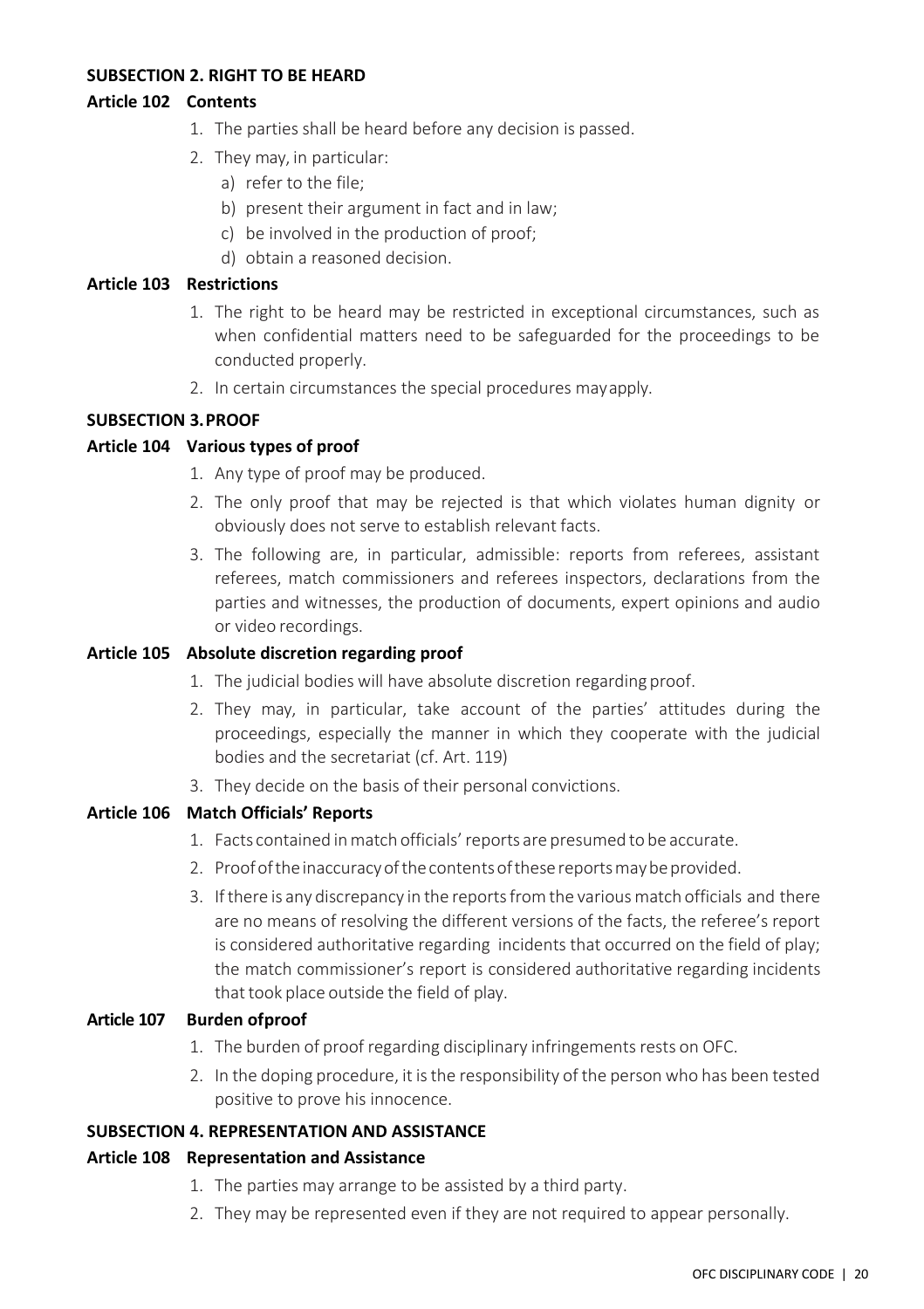#### <span id="page-26-0"></span>**SUBSECTION 2. RIGHT TO BE HEARD**

#### <span id="page-26-1"></span>**Article 102 Contents**

- 1. The parties shall be heard before any decision is passed.
- 2. They may, in particular:
	- a) refer to the file;
	- b) present their argument in fact and in law;
	- c) be involved in the production of proof;
	- d) obtain a reasoned decision.

#### <span id="page-26-2"></span>**Article 103 Restrictions**

- 1. The right to be heard may be restricted in exceptional circumstances, such as when confidential matters need to be safeguarded for the proceedings to be conducted properly.
- 2. In certain circumstances the special procedures mayapply.

#### <span id="page-26-3"></span>**SUBSECTION 3.PROOF**

#### <span id="page-26-4"></span>**Article 104 Various types of proof**

- 1. Any type of proof may be produced.
- 2. The only proof that may be rejected is that which violates human dignity or obviously does not serve to establish relevant facts.
- 3. The following are, in particular, admissible: reports from referees, assistant referees, match commissioners and referees inspectors, declarations from the parties and witnesses, the production of documents, expert opinions and audio or video recordings.

#### <span id="page-26-5"></span>**Article 105 Absolute discretion regarding proof**

- 1. The judicial bodies will have absolute discretion regarding proof.
- 2. They may, in particular, take account of the parties' attitudes during the proceedings, especially the manner in which they cooperate with the judicial bodies and the secretariat (cf. Art. 119)
- 3. They decide on the basis of their personal convictions.

#### <span id="page-26-6"></span>**Article 106 Match Officials' Reports**

- 1. Facts contained inmatch officials'reports are presumed to be accurate.
- 2. Proof of the inaccuracy of the contents of these reports may be provided.
- 3. Ifthere is any discrepancy in the reportsfromthe variousmatch officials and there are no means of resolving the different versions of the facts, the referee's report is considered authoritative regarding incidents that occurred on the field of play; the match commissioner's report is considered authoritative regarding incidents that took place outside the field of play.

#### <span id="page-26-7"></span>**Article 107 Burden ofproof**

- 1. The burden of proof regarding disciplinary infringements rests on OFC.
- 2. In the doping procedure, it is the responsibility of the person who has been tested positive to prove his innocence.

#### <span id="page-26-8"></span>**SUBSECTION 4. REPRESENTATION AND ASSISTANCE**

#### <span id="page-26-9"></span>**Article 108 Representation and Assistance**

- 1. The parties may arrange to be assisted by a third party.
- 2. They may be represented even if they are not required to appear personally.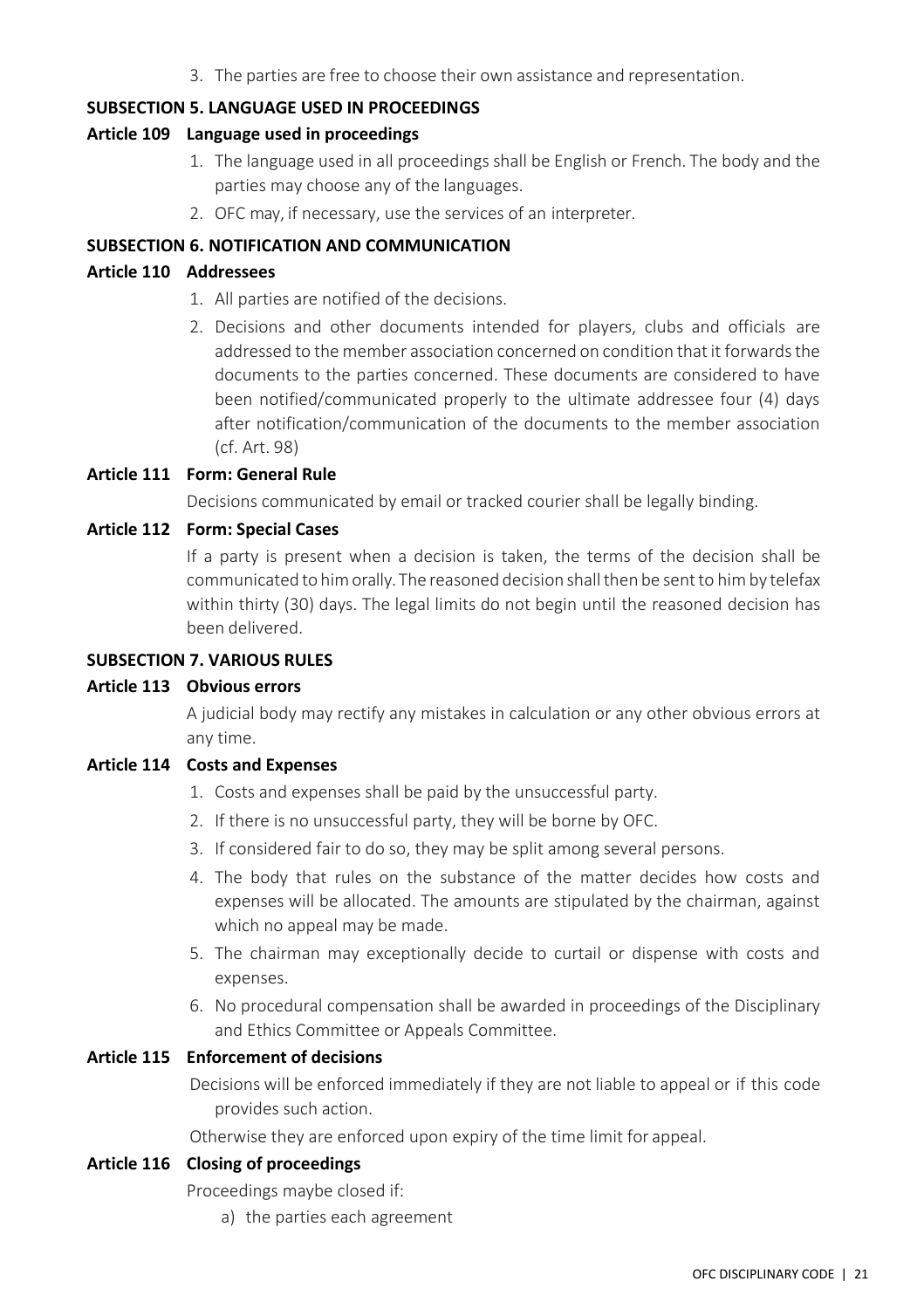3. The parties are free to choose their own assistance and representation.

#### <span id="page-27-0"></span>**SUBSECTION 5. LANGUAGE USED IN PROCEEDINGS**

#### <span id="page-27-1"></span>**Article 109 Language used in proceedings**

- 1. The language used in all proceedings shall be English or French. The body and the parties may choose any of the languages.
- 2. OFC may, if necessary, use the services of an interpreter.

#### <span id="page-27-2"></span>**SUBSECTION 6. NOTIFICATION AND COMMUNICATION**

#### <span id="page-27-3"></span>**Article 110 Addressees**

- 1. All parties are notified of the decisions.
- 2. Decisions and other documents intended for players, clubs and officials are addressed to the member association concerned on condition that it forwards the documents to the parties concerned. These documents are considered to have been notified/communicated properly to the ultimate addressee four (4) days after notification/communication of the documents to the member association (cf. Art. 98)

#### <span id="page-27-4"></span>**Article 111 Form: General Rule**

Decisions communicated by email or tracked courier shall be legally binding.

#### <span id="page-27-5"></span>**Article 112 Form: Special Cases**

If a party is present when a decision is taken, the terms of the decision shall be communicated to him orally. The reasoned decision shall then be sent to him by telefax within thirty (30) days. The legal limits do not begin until the reasoned decision has been delivered.

#### <span id="page-27-6"></span>**SUBSECTION 7. VARIOUS RULES**

#### <span id="page-27-7"></span>**Article 113 Obvious errors**

A judicial body may rectify any mistakes in calculation or any other obvious errors at any time.

#### <span id="page-27-8"></span>**Article 114 Costs and Expenses**

- 1. Costs and expenses shall be paid by the unsuccessful party.
- 2. If there is no unsuccessful party, they will be borne by OFC.
- 3. If considered fair to do so, they may be split among several persons.
- 4. The body that rules on the substance of the matter decides how costs and expenses will be allocated. The amounts are stipulated by the chairman, against which no appeal may be made.
- 5. The chairman may exceptionally decide to curtail or dispense with costs and expenses.
- 6. No procedural compensation shall be awarded in proceedings of the Disciplinary and Ethics Committee or Appeals Committee.

#### <span id="page-27-9"></span>**Article 115 Enforcement of decisions**

Decisions will be enforced immediately if they are not liable to appeal or if this code provides such action.

Otherwise they are enforced upon expiry of the time limit for appeal.

#### <span id="page-27-10"></span>**Article 116 Closing of proceedings**

Proceedings maybe closed if:

a) the parties each agreement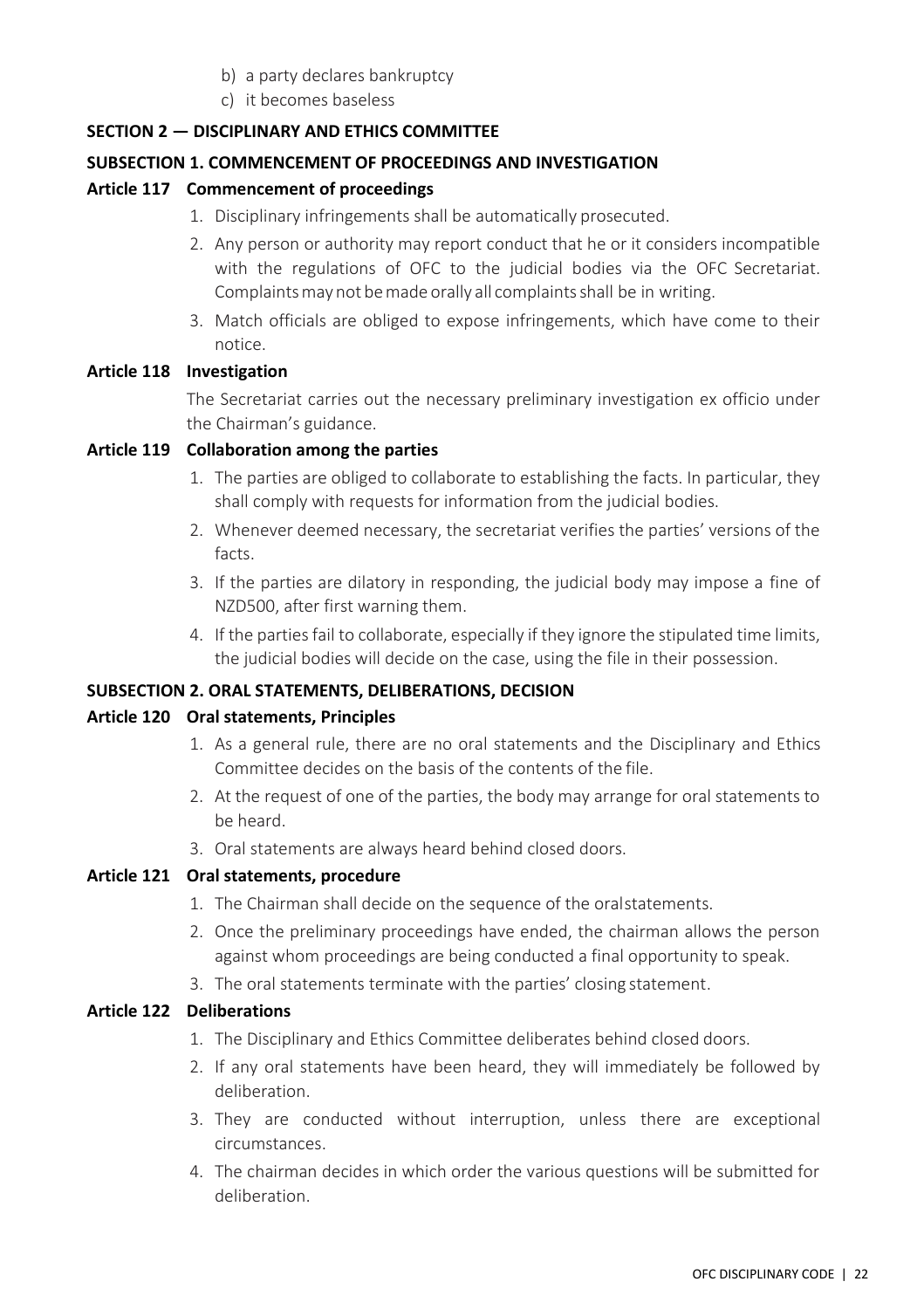- b) a party declares bankruptcy
- c) it becomes baseless

#### <span id="page-28-0"></span>**SECTION 2 — DISCIPLINARY AND ETHICS COMMITTEE**

#### <span id="page-28-1"></span>**SUBSECTION 1. COMMENCEMENT OF PROCEEDINGS AND INVESTIGATION**

#### <span id="page-28-2"></span>**Article 117 Commencement of proceedings**

- 1. Disciplinary infringements shall be automatically prosecuted.
- 2. Any person or authority may report conduct that he or it considers incompatible with the regulations of OFC to the judicial bodies via the OFC Secretariat. Complaints may not be made orally all complaints shall be in writing.
- 3. Match officials are obliged to expose infringements, which have come to their notice.

#### <span id="page-28-3"></span>**Article 118 Investigation**

The Secretariat carries out the necessary preliminary investigation ex officio under the Chairman's guidance.

#### <span id="page-28-4"></span>**Article 119 Collaboration among the parties**

- 1. The parties are obliged to collaborate to establishing the facts. In particular, they shall comply with requests for information from the judicial bodies.
- 2. Whenever deemed necessary, the secretariat verifies the parties' versions of the facts.
- 3. If the parties are dilatory in responding, the judicial body may impose a fine of NZD500, after first warning them.
- 4. If the parties fail to collaborate, especially if they ignore the stipulated time limits, the judicial bodies will decide on the case, using the file in their possession.

#### <span id="page-28-5"></span>**SUBSECTION 2. ORAL STATEMENTS, DELIBERATIONS, DECISION**

#### <span id="page-28-6"></span>**Article 120 Oral statements, Principles**

- 1. As a general rule, there are no oral statements and the Disciplinary and Ethics Committee decides on the basis of the contents of the file.
- 2. At the request of one of the parties, the body may arrange for oral statements to be heard.
- 3. Oral statements are always heard behind closed doors.

#### <span id="page-28-7"></span>**Article 121 Oral statements, procedure**

- 1. The Chairman shall decide on the sequence of the oralstatements.
- 2. Once the preliminary proceedings have ended, the chairman allows the person against whom proceedings are being conducted a final opportunity to speak.
- 3. The oral statements terminate with the parties' closing statement.

#### <span id="page-28-8"></span>**Article 122 Deliberations**

- 1. The Disciplinary and Ethics Committee deliberates behind closed doors.
- 2. If any oral statements have been heard, they will immediately be followed by deliberation.
- 3. They are conducted without interruption, unless there are exceptional circumstances.
- 4. The chairman decides in which order the various questions will be submitted for deliberation.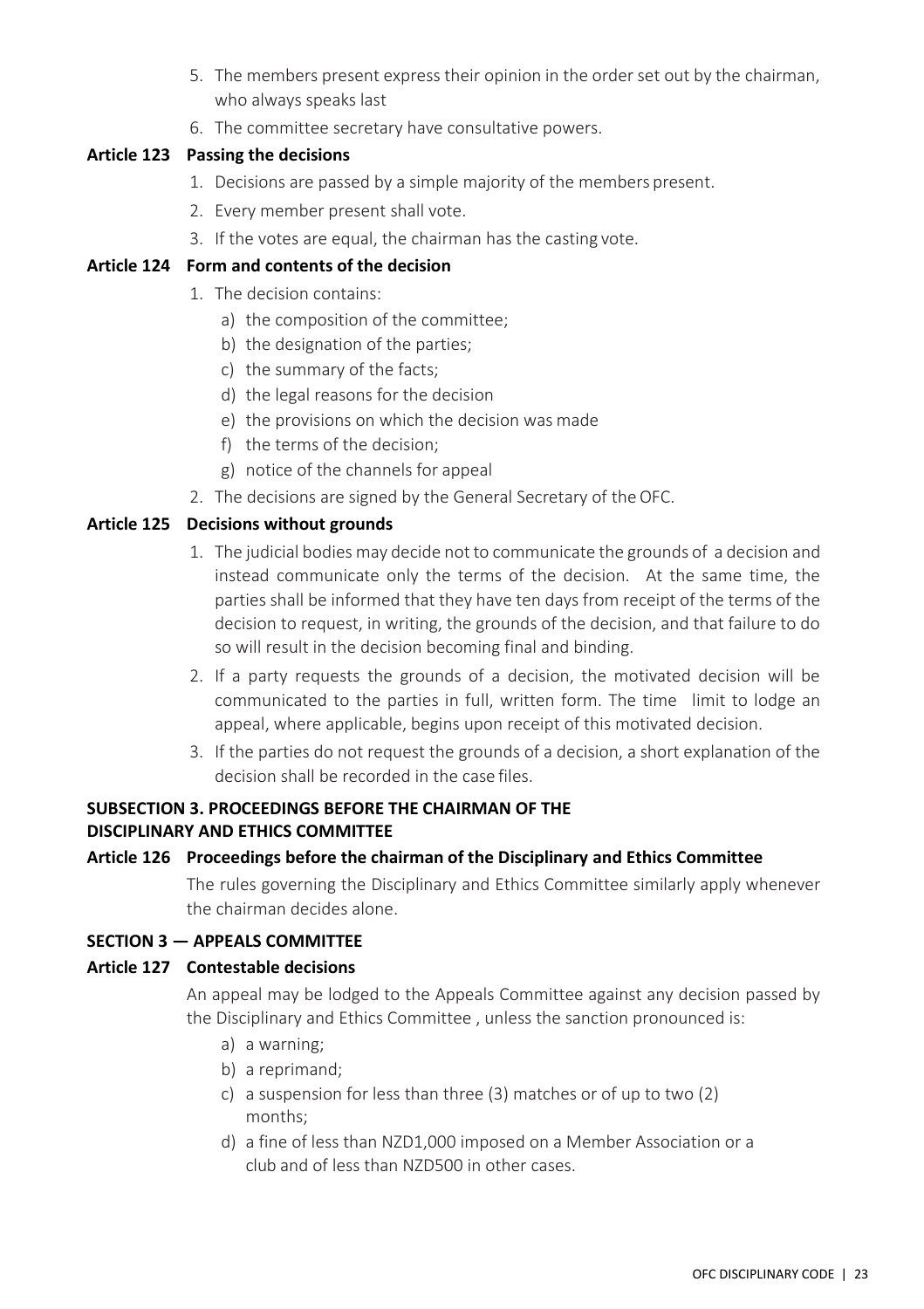- 5. The members present express their opinion in the order set out by the chairman, who always speaks last
- 6. The committee secretary have consultative powers.

#### <span id="page-29-0"></span>**Article 123 Passing the decisions**

- 1. Decisions are passed by a simple majority of the members present.
- 2. Every member present shall vote.
- 3. If the votes are equal, the chairman has the casting vote.

#### <span id="page-29-1"></span>**Article 124 Form and contents of the decision**

- 1. The decision contains:
	- a) the composition of the committee;
	- b) the designation of the parties;
	- c) the summary of the facts;
	- d) the legal reasons for the decision
	- e) the provisions on which the decision was made
	- f) the terms of the decision;
	- g) notice of the channels for appeal
- 2. The decisions are signed by the General Secretary of theOFC.

#### <span id="page-29-2"></span>**Article 125 Decisions without grounds**

- 1. The judicial bodies may decide not to communicate the grounds of a decision and instead communicate only the terms of the decision. At the same time, the parties shall be informed that they have ten days from receipt of the terms of the decision to request, in writing, the grounds of the decision, and that failure to do so will result in the decision becoming final and binding.
- 2. If a party requests the grounds of a decision, the motivated decision will be communicated to the parties in full, written form. The time limit to lodge an appeal, where applicable, begins upon receipt of this motivated decision.
- 3. If the parties do not request the grounds of a decision, a short explanation of the decision shall be recorded in the case files.

#### <span id="page-29-3"></span>**SUBSECTION 3. PROCEEDINGS BEFORE THE CHAIRMAN OF THE DISCIPLINARY AND ETHICS COMMITTEE**

#### <span id="page-29-4"></span>**Article 126 Proceedings before the chairman of the Disciplinary and Ethics Committee**

The rules governing the Disciplinary and Ethics Committee similarly apply whenever the chairman decides alone.

#### <span id="page-29-5"></span>**SECTION 3 — APPEALS COMMITTEE**

#### <span id="page-29-6"></span>**Article 127 Contestable decisions**

An appeal may be lodged to the Appeals Committee against any decision passed by the Disciplinary and Ethics Committee , unless the sanction pronounced is:

- a) a warning;
- b) a reprimand;
- c) a suspension for less than three (3) matches or of up to two (2) months;
- d) a fine of less than NZD1,000 imposed on a Member Association or a club and of less than NZD500 in other cases.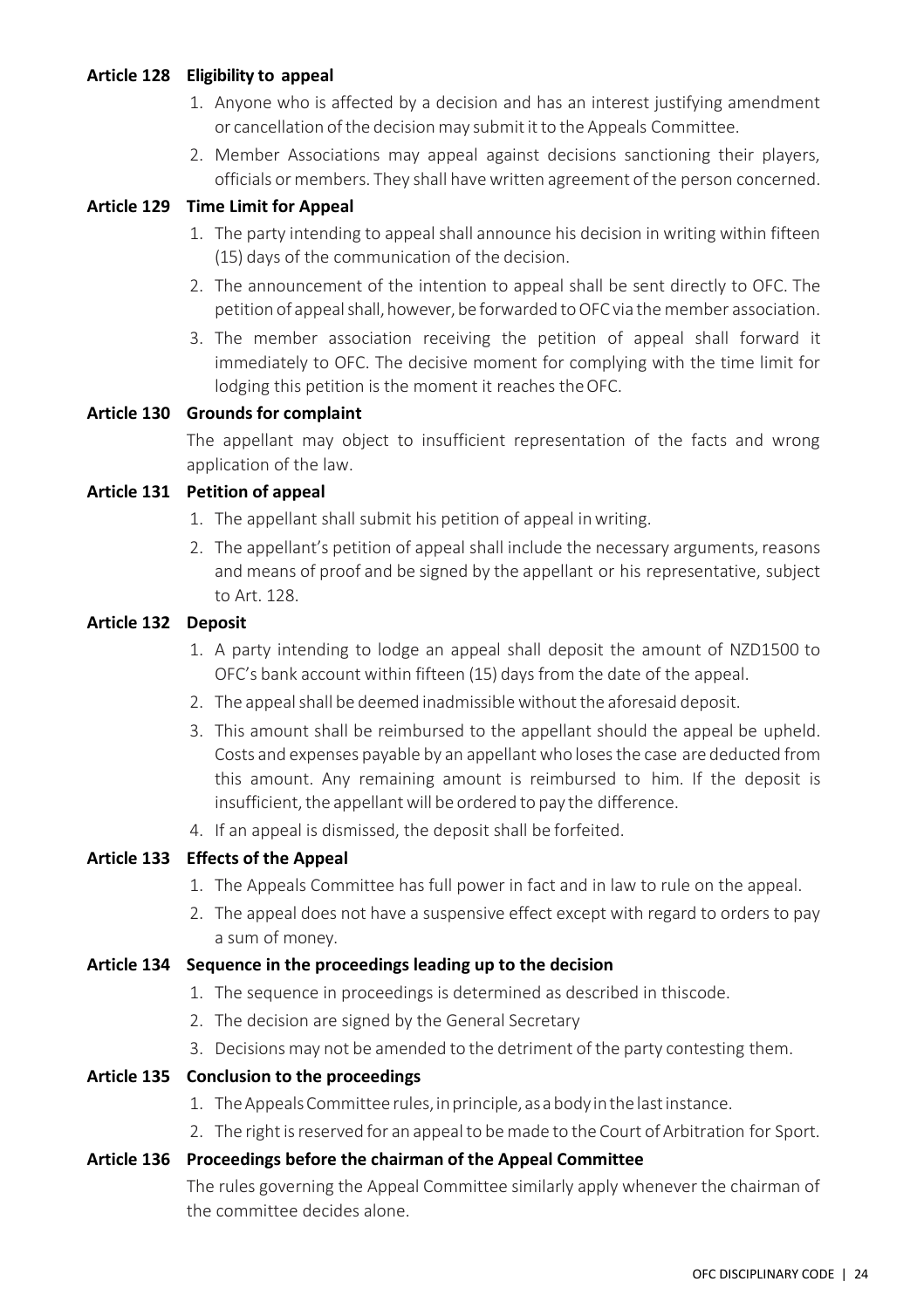#### <span id="page-30-0"></span>**Article 128 Eligibility to appeal**

- 1. Anyone who is affected by a decision and has an interest justifying amendment or cancellation of the decision may submit it to the Appeals Committee.
- 2. Member Associations may appeal against decisions sanctioning their players, officials or members. They shall havewritten agreement of the person concerned.

#### <span id="page-30-1"></span>**Article 129 Time Limit for Appeal**

- 1. The party intending to appeal shall announce his decision in writing within fifteen (15) days of the communication of the decision.
- 2. The announcement of the intention to appeal shall be sent directly to OFC. The petition of appeal shall, however, be forwarded to OFC via the member association.
- 3. The member association receiving the petition of appeal shall forward it immediately to OFC. The decisive moment for complying with the time limit for lodging this petition is the moment it reaches theOFC.

#### <span id="page-30-2"></span>**Article 130 Grounds for complaint**

The appellant may object to insufficient representation of the facts and wrong application of the law.

#### <span id="page-30-3"></span>**Article 131 Petition of appeal**

- 1. The appellant shall submit his petition of appeal inwriting.
- 2. The appellant's petition of appeal shall include the necessary arguments, reasons and means of proof and be signed by the appellant or his representative, subject to Art. 128.

#### <span id="page-30-4"></span>**Article 132 Deposit**

- 1. A party intending to lodge an appeal shall deposit the amount of NZD1500 to OFC's bank account within fifteen (15) days from the date of the appeal.
- 2. The appeal shall be deemed inadmissible without the aforesaid deposit.
- 3. This amount shall be reimbursed to the appellant should the appeal be upheld. Costs and expenses payable by an appellantwho losesthe case are deducted from this amount. Any remaining amount is reimbursed to him. If the deposit is insufficient, the appellant will be ordered to pay the difference.
- 4. If an appeal is dismissed, the deposit shall be forfeited.

#### <span id="page-30-5"></span>**Article 133 Effects of the Appeal**

- 1. The Appeals Committee has full power in fact and in law to rule on the appeal.
- 2. The appeal does not have a suspensive effect except with regard to orders to pay a sum of money.

#### <span id="page-30-6"></span>**Article 134 Sequence in the proceedings leading up to the decision**

- 1. The sequence in proceedings is determined as described in thiscode.
- 2. The decision are signed by the General Secretary
- 3. Decisions may not be amended to the detriment of the party contesting them.
- <span id="page-30-7"></span>**Article 135 Conclusion to the proceedings**
	- 1. The Appeals Committee rules, in principle, as a body in the last instance.
	- 2. The right is reserved for an appeal to be made to the Court of Arbitration for Sport.

#### <span id="page-30-8"></span>**Article 136 Proceedings before the chairman of the Appeal Committee**

The rules governing the Appeal Committee similarly apply whenever the chairman of the committee decides alone.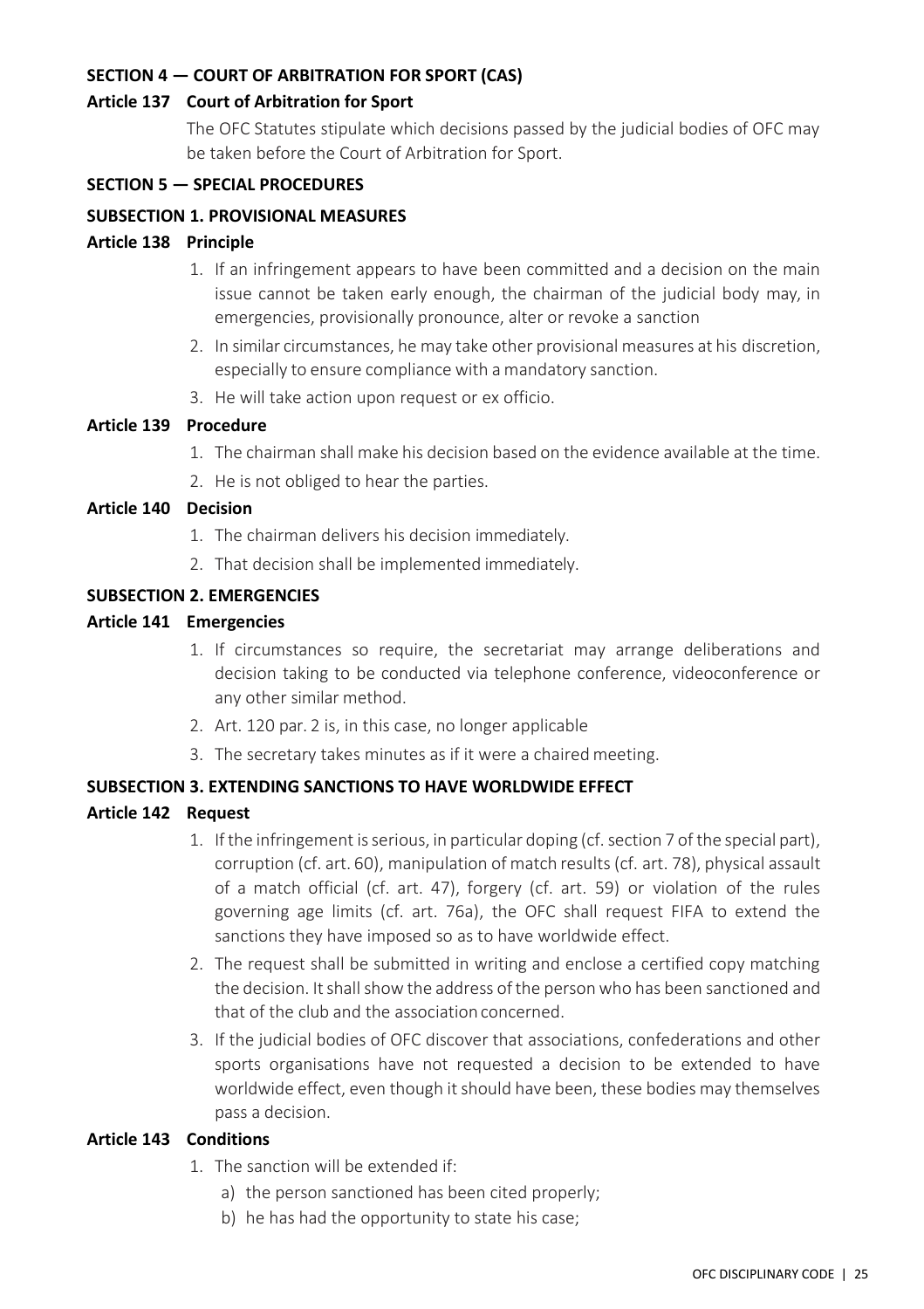#### <span id="page-31-0"></span>**SECTION 4 — COURT OF ARBITRATION FOR SPORT (CAS)**

#### <span id="page-31-1"></span>**Article 137 Court of Arbitration for Sport**

The OFC Statutes stipulate which decisions passed by the judicial bodies of OFC may be taken before the Court of Arbitration for Sport.

#### <span id="page-31-2"></span>**SECTION 5 — SPECIAL PROCEDURES**

#### <span id="page-31-3"></span>**SUBSECTION 1. PROVISIONAL MEASURES**

#### <span id="page-31-4"></span>**Article 138 Principle**

- 1. If an infringement appears to have been committed and a decision on the main issue cannot be taken early enough, the chairman of the judicial body may, in emergencies, provisionally pronounce, alter or revoke a sanction
- 2. In similar circumstances, he may take other provisional measures at his discretion, especially to ensure compliance with a mandatory sanction.
- 3. He will take action upon request or ex officio.

#### <span id="page-31-5"></span>**Article 139 Procedure**

- 1. The chairman shall make his decision based on the evidence available at the time.
- 2. He is not obliged to hear the parties.

#### <span id="page-31-6"></span>**Article 140 Decision**

- 1. The chairman delivers his decision immediately.
- 2. That decision shall be implemented immediately.

#### <span id="page-31-7"></span>**SUBSECTION 2. EMERGENCIES**

#### <span id="page-31-8"></span>**Article 141 Emergencies**

- 1. If circumstances so require, the secretariat may arrange deliberations and decision taking to be conducted via telephone conference, videoconference or any other similar method.
- 2. Art. 120 par. 2 is, in this case, no longer applicable
- 3. The secretary takes minutes as if it were a chaired meeting.

#### <span id="page-31-9"></span>**SUBSECTION 3. EXTENDING SANCTIONS TO HAVE WORLDWIDE EFFECT**

#### <span id="page-31-10"></span>**Article 142 Request**

- 1. If the infringement is serious, in particular doping (cf. section 7 of the special part), corruption (cf. art. 60), manipulation of match results(cf. art. 78), physical assault of a match official (cf. art. 47), forgery (cf. art. 59) or violation of the rules governing age limits (cf. art. 76a), the OFC shall request FIFA to extend the sanctions they have imposed so as to have worldwide effect.
- 2. The request shall be submitted in writing and enclose a certified copy matching the decision. It shall show the address of the person who has been sanctioned and that of the club and the association concerned.
- 3. If the judicial bodies of OFC discover that associations, confederations and other sports organisations have not requested a decision to be extended to have worldwide effect, even though it should have been, these bodies may themselves pass a decision.

#### <span id="page-31-11"></span>**Article 143 Conditions**

- 1. The sanction will be extended if:
	- a) the person sanctioned has been cited properly;
	- b) he has had the opportunity to state his case;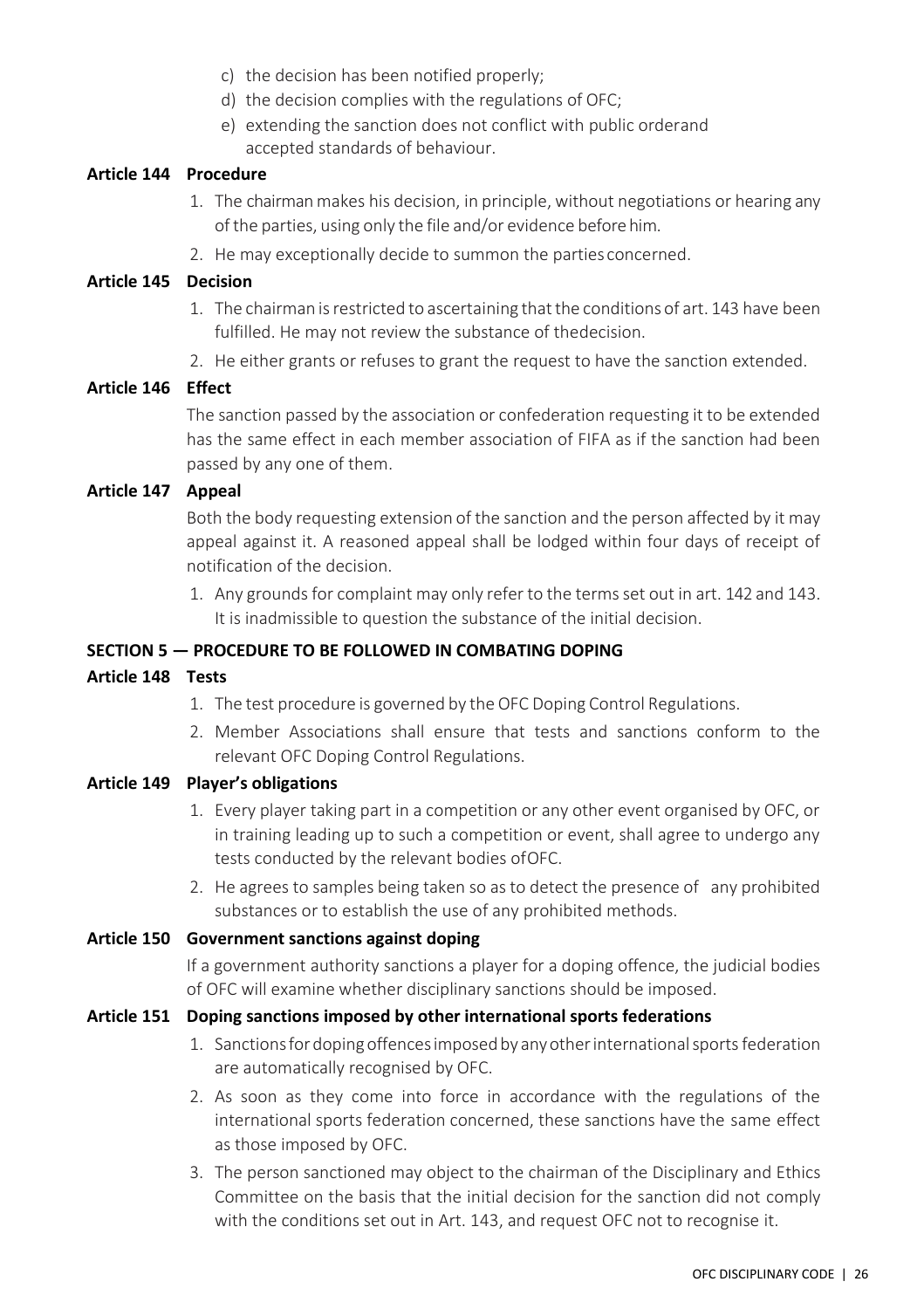- c) the decision has been notified properly;
- d) the decision complies with the regulations of OFC;
- e) extending the sanction does not conflict with public orderand accepted standards of behaviour.

#### <span id="page-32-0"></span>**Article 144 Procedure**

- 1. The chairman makes his decision, in principle, without negotiations or hearing any of the parties, using only the file and/or evidence before him.
- 2. He may exceptionally decide to summon the parties concerned.

#### <span id="page-32-1"></span>**Article 145 Decision**

- 1. The chairman isrestricted to ascertaining thatthe conditions of art. 143 have been fulfilled. He may not review the substance of thedecision.
- 2. He either grants or refuses to grant the request to have the sanction extended.

#### <span id="page-32-2"></span>**Article 146 Effect**

The sanction passed by the association or confederation requesting it to be extended has the same effect in each member association of FIFA as if the sanction had been passed by any one of them.

#### <span id="page-32-3"></span>**Article 147 Appeal**

Both the body requesting extension of the sanction and the person affected by it may appeal against it. A reasoned appeal shall be lodged within four days of receipt of notification of the decision.

1. Any grounds for complaint may only refer to the terms set out in art. 142 and 143. It is inadmissible to question the substance of the initial decision.

#### <span id="page-32-4"></span>**SECTION 5 — PROCEDURE TO BE FOLLOWED IN COMBATING DOPING**

#### <span id="page-32-5"></span>**Article 148 Tests**

- 1. The test procedure is governed by the OFC Doping Control Regulations.
- 2. Member Associations shall ensure that tests and sanctions conform to the relevant OFC Doping Control Regulations.

#### <span id="page-32-6"></span>**Article 149 Player's obligations**

- 1. Every player taking part in a competition or any other event organised by OFC, or in training leading up to such a competition or event, shall agree to undergo any tests conducted by the relevant bodies ofOFC.
- 2. He agrees to samples being taken so as to detect the presence of any prohibited substances or to establish the use of any prohibited methods.

#### <span id="page-32-7"></span>**Article 150 Government sanctions against doping**

If a government authority sanctions a player for a doping offence, the judicial bodies of OFC will examine whether disciplinary sanctions should be imposed.

#### <span id="page-32-8"></span>**Article 151 Doping sanctions imposed by other international sports federations**

- 1. Sanctionsfordopingoffencesimposedby anyotherinternationalsports federation are automatically recognised by OFC.
- 2. As soon as they come into force in accordance with the regulations of the international sports federation concerned, these sanctions have the same effect as those imposed by OFC.
- 3. The person sanctioned may object to the chairman of the Disciplinary and Ethics Committee on the basis that the initial decision for the sanction did not comply with the conditions set out in Art. 143, and request OFC not to recognise it.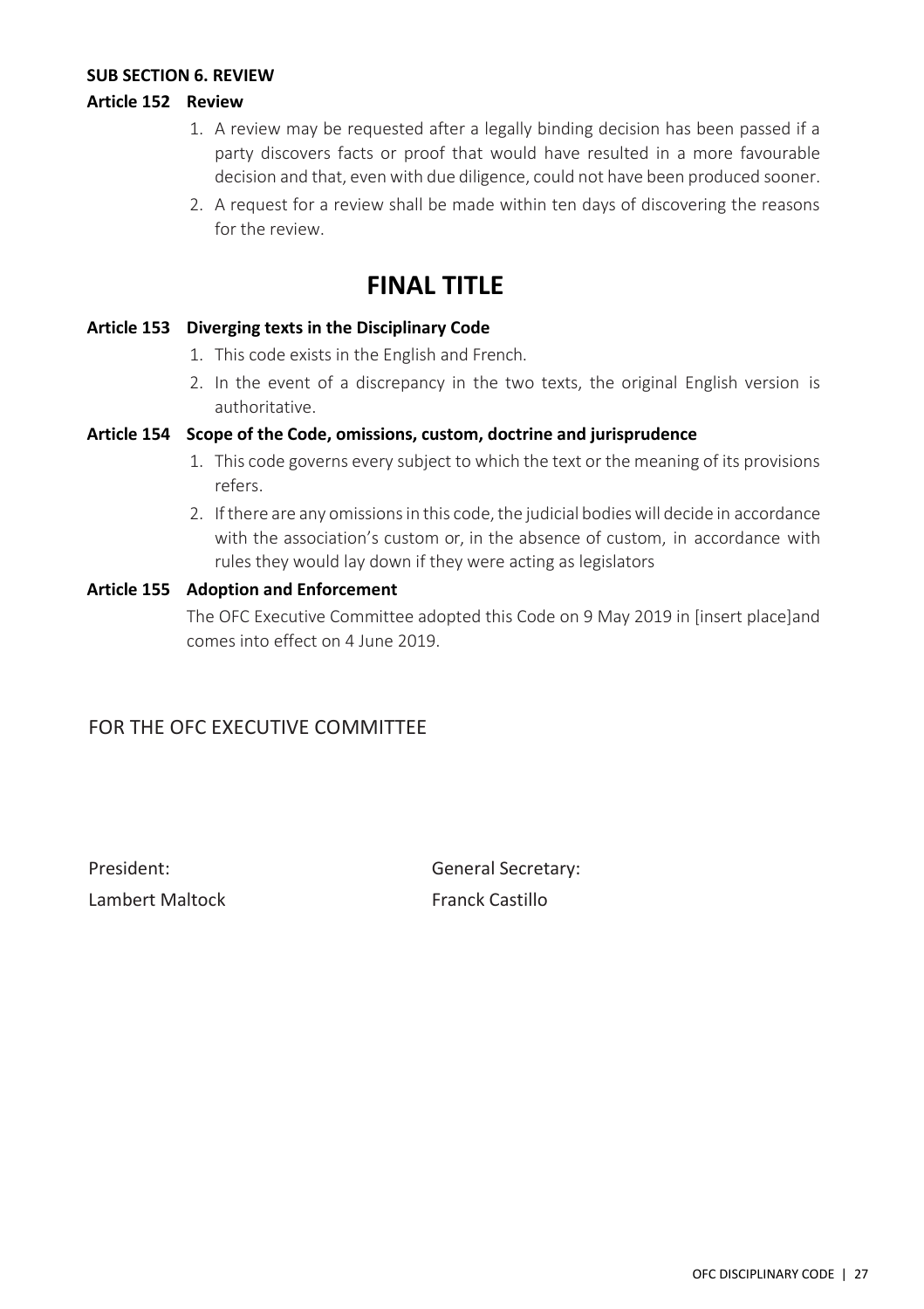#### <span id="page-33-0"></span>**SUB SECTION 6. REVIEW**

#### <span id="page-33-1"></span>**Article 152 Review**

- 1. A review may be requested after a legally binding decision has been passed if a party discovers facts or proof that would have resulted in a more favourable decision and that, even with due diligence, could not have been produced sooner.
- 2. A request for a review shall be made within ten days of discovering the reasons for the review.

### **FINAL TITLE**

#### <span id="page-33-3"></span><span id="page-33-2"></span>**Article 153 Diverging texts in the Disciplinary Code**

- 1. This code exists in the English and French.
- 2. In the event of a discrepancy in the two texts, the original English version is authoritative.

#### <span id="page-33-4"></span>**Article 154 Scope of the Code, omissions, custom, doctrine and jurisprudence**

- 1. This code governs every subject to which the text or the meaning of its provisions refers.
- 2. If there are any omissions in this code, the judicial bodies will decide in accordance with the association's custom or, in the absence of custom, in accordance with rules they would lay down if they were acting as legislators

#### <span id="page-33-5"></span>**Article 155 Adoption and Enforcement**

The OFC Executive Committee adopted this Code on 9 May 2019 in [insert place]and comes into effect on 4 June 2019.

#### FOR THE OFC EXECUTIVE COMMITTEE

Lambert Maltock **Franck Castillo** 

President: Christian Communication Ceneral Secretary: